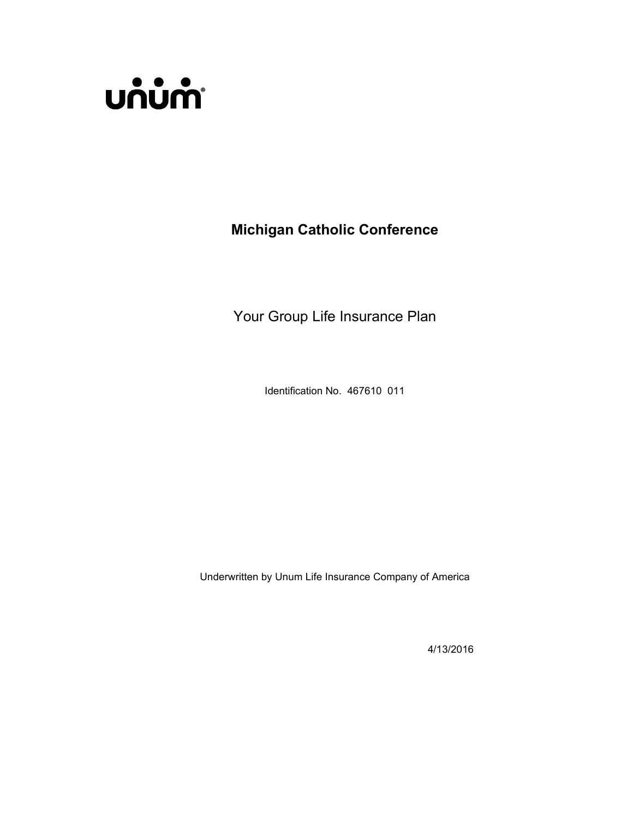

Michigan Catholic Conference

Your Group Life Insurance Plan

Identification No. 467610 011

Underwritten by Unum Life Insurance Company of America

4/13/2016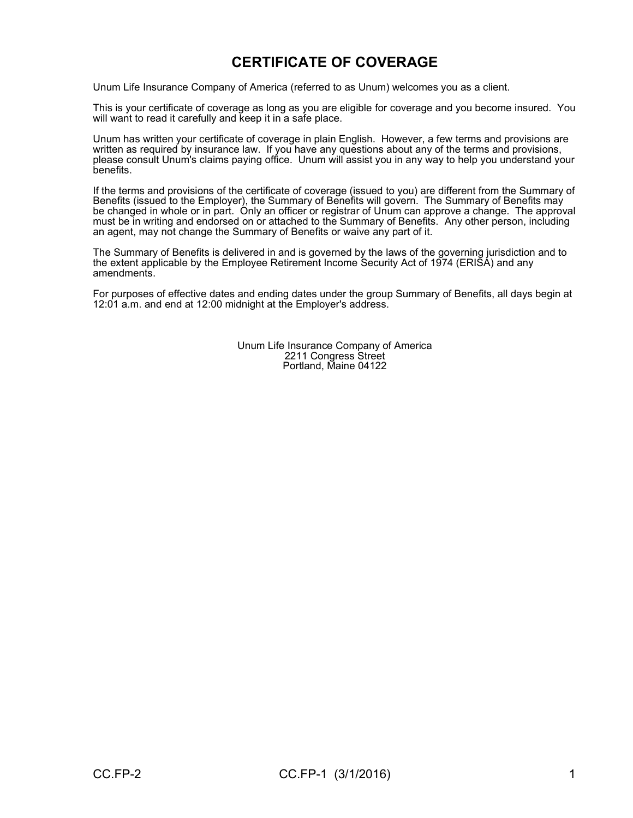# CERTIFICATE OF COVERAGE

Unum Life Insurance Company of America (referred to as Unum) welcomes you as a client.

This is your certificate of coverage as long as you are eligible for coverage and you become insured. You will want to read it carefully and keep it in a safe place.

Unum has written your certificate of coverage in plain English. However, a few terms and provisions are written as required by insurance law. If you have any questions about any of the terms and provisions, please consult Unum's claims paying office. Unum will assist you in any way to help you understand your benefits.

If the terms and provisions of the certificate of coverage (issued to you) are different from the Summary of Benefits (issued to the Employer), the Summary of Benefits will govern. The Summary of Benefits may be changed in whole or in part. Only an officer or registrar of Unum can approve a change. The approval must be in writing and endorsed on or attached to the Summary of Benefits. Any other person, including an agent, may not change the Summary of Benefits or waive any part of it.

The Summary of Benefits is delivered in and is governed by the laws of the governing jurisdiction and to the extent applicable by the Employee Retirement Income Security Act of 1974 (ERISÁ) and any<br>amendments.

For purposes of effective dates and ending dates under the group Summary of Benefits, all days begin at 12:01 a.m. and end at 12:00 midnight at the Employer's address.

> Unum Life Insurance Company of America 2211 Congress Street Portland, Maine 04122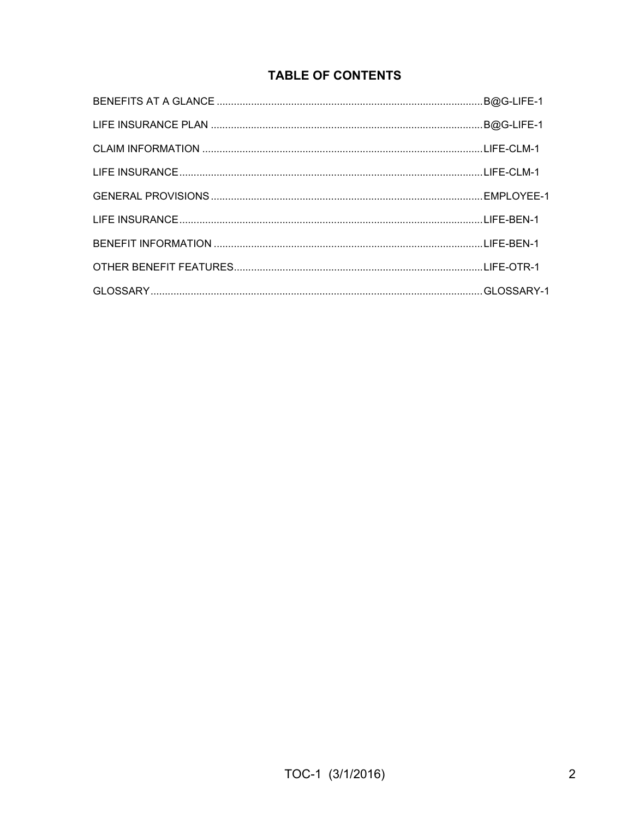# **TABLE OF CONTENTS**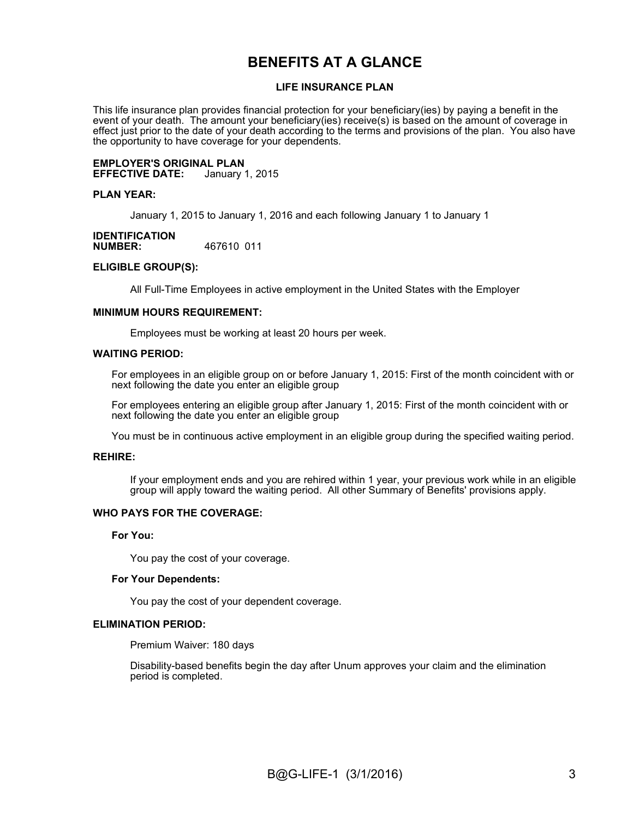# BENEFITS AT A GLANCE

#### LIFE INSURANCE PLAN

This life insurance plan provides financial protection for your beneficiary(ies) by paying a benefit in the event of your death. The amount your beneficiary(ies) receive(s) is based on the amount of coverage in effect just prior to the date of your death according to the terms and provisions of the plan. You also have the opportunity to have coverage for your dependents.

**EMPLOYER'S ORIGINAL PLAN<br>EFFECTIVE DATE:** January 1, 2015 **EFFECTIVE DATE:** 

#### PLAN YEAR:

January 1, 2015 to January 1, 2016 and each following January 1 to January 1

#### **IDENTIFICATION**<br>NUMBER: 467610 011

#### ELIGIBLE GROUP(S):

All Full-Time Employees in active employment in the United States with the Employer

#### MINIMUM HOURS REQUIREMENT:

Employees must be working at least 20 hours per week.

#### WAITING PERIOD:

For employees in an eligible group on or before January 1, 2015: First of the month coincident with or next following the date you enter an eligible group

For employees entering an eligible group after January 1, 2015: First of the month coincident with or next following the date you enter an eligible group

You must be in continuous active employment in an eligible group during the specified waiting period.

#### REHIRE:

If your employment ends and you are rehired within 1 year, your previous work while in an eligible group will apply toward the waiting period. All other Summary of Benefits' provisions apply.

#### WHO PAYS FOR THE COVERAGE:

For You:

You pay the cost of your coverage.

#### For Your Dependents:

You pay the cost of your dependent coverage.

#### ELIMINATION PERIOD:

Premium Waiver: 180 days

Disability-based benefits begin the day after Unum approves your claim and the elimination period is completed.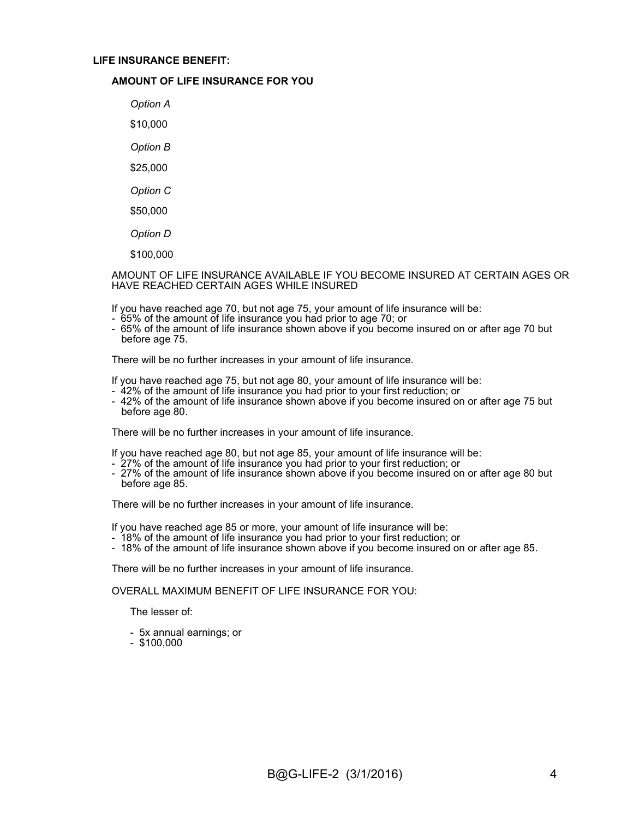#### LIFE INSURANCE BENEFIT:

#### AMOUNT OF LIFE INSURANCE FOR YOU

Option A \$10,000

Option B

\$25,000

Option C

\$50,000

Option D

\$100,000

AMOUNT OF LIFE INSURANCE AVAILABLE IF YOU BECOME INSURED AT CERTAIN AGES OR HAVE REACHED CERTAIN AGES WHILE INSURED

If you have reached age 70, but not age 75, your amount of life insurance will be:<br>- 65% of the amount of life insurance you had prior to age 70; or

- 
- 65% of the amount of life insurance shown above if you become insured on or after age 70 but before age 75.

There will be no further increases in your amount of life insurance.

If you have reached age 75, but not age 80, your amount of life insurance will be:

- 42% of the amount of life insurance you had prior to your first reduction; or
- 42% of the amount of life insurance shown above if you become insured on or after age 75 but before age 80.

There will be no further increases in your amount of life insurance.

If you have reached age 80, but not age 85, your amount of life insurance will be:

- 27% of the amount of life insurance you had prior to your first reduction; or
- 27% of the amount of life insurance shown above if you become insured on or after age 80 but before age 85.

There will be no further increases in your amount of life insurance.

If you have reached age 85 or more, your amount of life insurance will be:

- 18% of the amount of life insurance you had prior to your first reduction; or
- 18% of the amount of life insurance shown above if you become insured on or after age 85.

There will be no further increases in your amount of life insurance.

#### OVERALL MAXIMUM BENEFIT OF LIFE INSURANCE FOR YOU:

The lesser of:

- 5x annual earnings; or
- \$100,000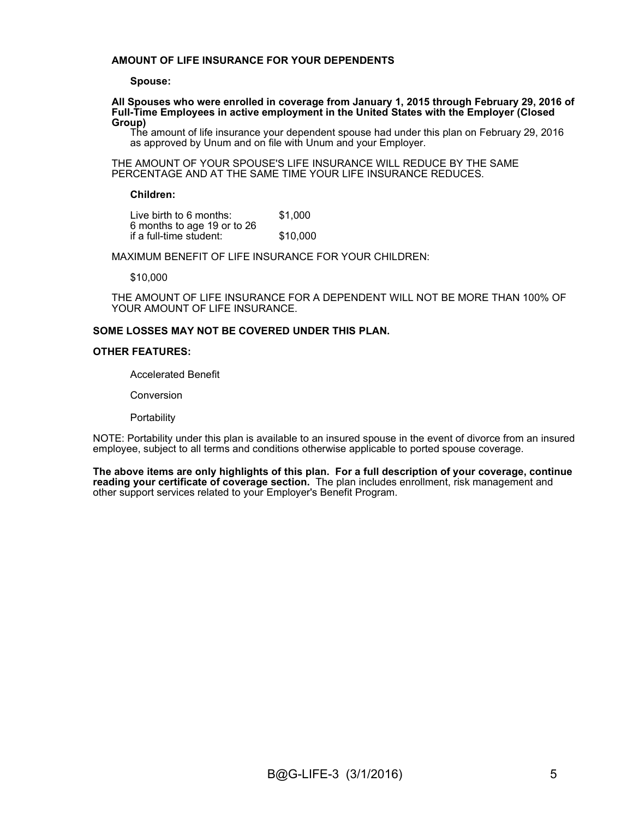#### AMOUNT OF LIFE INSURANCE FOR YOUR DEPENDENTS

#### Spouse:

All Spouses who were enrolled in coverage from January 1, 2015 through February 29, 2016 of Full-Time Employees in active employment in the United States with the Employer (Closed Group)

The amount of life insurance your dependent spouse had under this plan on February 29, 2016 as approved by Unum and on file with Unum and your Employer.

THE AMOUNT OF YOUR SPOUSE'S LIFE INSURANCE WILL REDUCE BY THE SAME PERCENTAGE AND AT THE SAME TIME YOUR LIFE INSURANCE REDUCES.

#### Children:

Live birth to 6 months: \$1,000 6 months to age 19 or to 26 if a full-time student:

MAXIMUM BENEFIT OF LIFE INSURANCE FOR YOUR CHILDREN:

\$10,000

THE AMOUNT OF LIFE INSURANCE FOR A DEPENDENT WILL NOT BE MORE THAN 100% OF YOUR AMOUNT OF LIFE INSURANCE.

#### SOME LOSSES MAY NOT BE COVERED UNDER THIS PLAN.

#### OTHER FEATURES:

Accelerated Benefit

Conversion

**Portability** 

NOTE: Portability under this plan is available to an insured spouse in the event of divorce from an insured employee, subject to all terms and conditions otherwise applicable to ported spouse coverage.

The above items are only highlights of this plan. For a full description of your coverage, continue reading your certificate of coverage section. The plan includes enrollment, risk management and other support services related to your Employer's Benefit Program.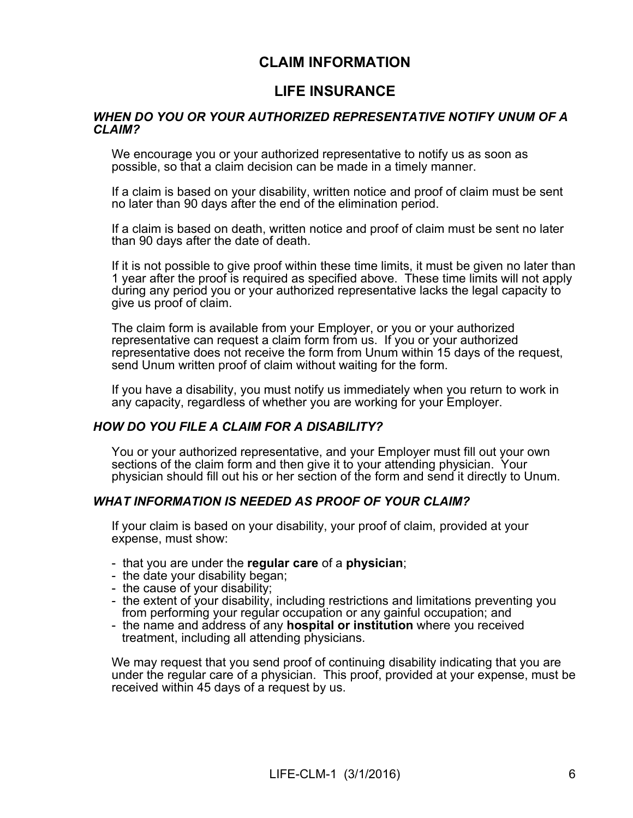# CLAIM INFORMATION

# LIFE INSURANCE

#### WHEN DO YOU OR YOUR AUTHORIZED REPRESENTATIVE NOTIFY UNUM OF A CLAIM?

We encourage you or your authorized representative to notify us as soon as possible, so that a claim decision can be made in a timely manner.

If a claim is based on your disability, written notice and proof of claim must be sent no later than 90 days after the end of the elimination period.

If a claim is based on death, written notice and proof of claim must be sent no later than 90 days after the date of death.

If it is not possible to give proof within these time limits, it must be given no later than 1 year after the proof is required as specified above. These time limits will not apply during any period you or your authorized representative lacks the legal capacity to give us proof of claim.

The claim form is available from your Employer, or you or your authorized representative can request a claim form from us. If you or your authorized representative does not receive the form from Unum within 15 days of the request, send Unum written proof of claim without waiting for the form.

If you have a disability, you must notify us immediately when you return to work in any capacity, regardless of whether you are working for your Employer.

#### HOW DO YOU FILE A CLAIM FOR A DISABILITY?

You or your authorized representative, and your Employer must fill out your own sections of the claim form and then give it to your attending physician. Your physician should fill out his or her section of the form and send it directly to Unum.

#### WHAT INFORMATION IS NEEDED AS PROOF OF YOUR CLAIM?

If your claim is based on your disability, your proof of claim, provided at your expense, must show:

- that you are under the regular care of a physician;
- the date your disability began; the cause of your disability;
- 
- the extent of your disability, including restrictions and limitations preventing you from performing your regular occupation or any gainful occupation; and
- the name and address of any **hospital or institution** where you received treatment, including all attending physicians.

We may request that you send proof of continuing disability indicating that you are under the regular care of a physician. This proof, provided at your expense, must be received within 45 days of a request by us.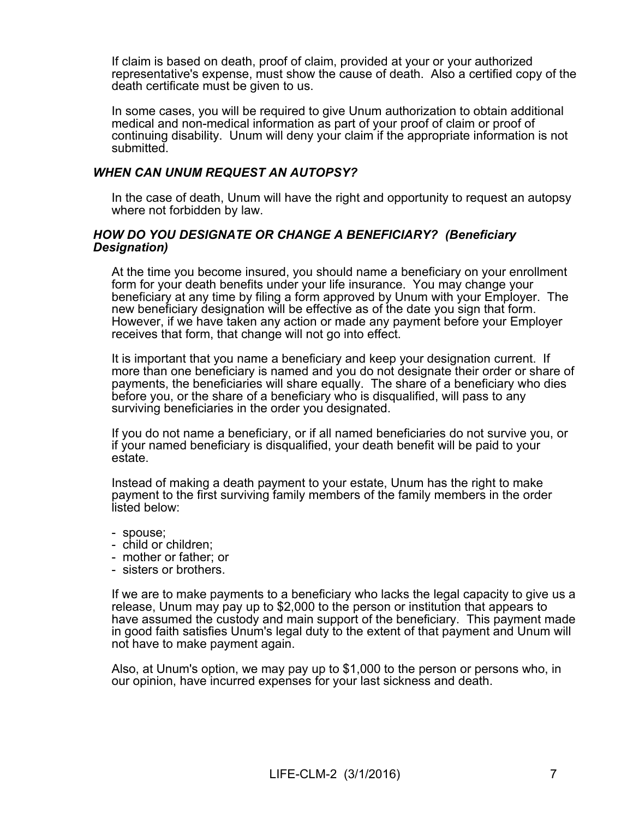If claim is based on death, proof of claim, provided at your or your authorized representative's expense, must show the cause of death. Also a certified copy of the death certificate must be given to us.

In some cases, you will be required to give Unum authorization to obtain additional medical and non-medical information as part of your proof of claim or proof of continuing disability. Unum will deny your claim if the appropriate information is not submitted.

#### WHEN CAN UNUM REQUEST AN AUTOPSY?

In the case of death, Unum will have the right and opportunity to request an autopsy where not forbidden by law.

#### HOW DO YOU DESIGNATE OR CHANGE A BENEFICIARY? (Beneficiary Designation)

At the time you become insured, you should name a beneficiary on your enrollment form for your death benefits under your life insurance. You may change your beneficiary at any time by filing a form approved by Unum with your Employer. The new beneficiary designation will be effective as of the date you sign that form. However, if we have taken any action or made any payment before your Employer receives that form, that change will not go into effect.

It is important that you name a beneficiary and keep your designation current. If more than one beneficiary is named and you do not designate their order or share of payments, the beneficiaries will share equally. The share of a beneficiary who dies before you, or the share of a beneficiary who is disqualified, will pass to any surviving beneficiaries in the order you designated.

If you do not name a beneficiary, or ifall named beneficiaries do not survive you, or if your named beneficiary is disqualified, your death benefit will be paid to your estate.

Instead of making a death payment to your estate, Unum has the right to make payment to the first surviving family members of the family members in the order listed below:

- 
- spouse;<br>- child or children:
- mother or father; or
- sisters or brothers.

If we are to make payments to a beneficiary who lacks the legal capacity to give us a release, Unum may pay up to \$2,000 to the person or institution that appears to have assumed the custody and main support of the beneficiary. This payment made in good faith satisfies Unum's legal duty to the extent of that payment and Unum will not have to make payment again.

Also, at Unum's option, we may pay up to \$1,000 to the person or persons who, in our opinion, have incurred expenses for your last sickness and death.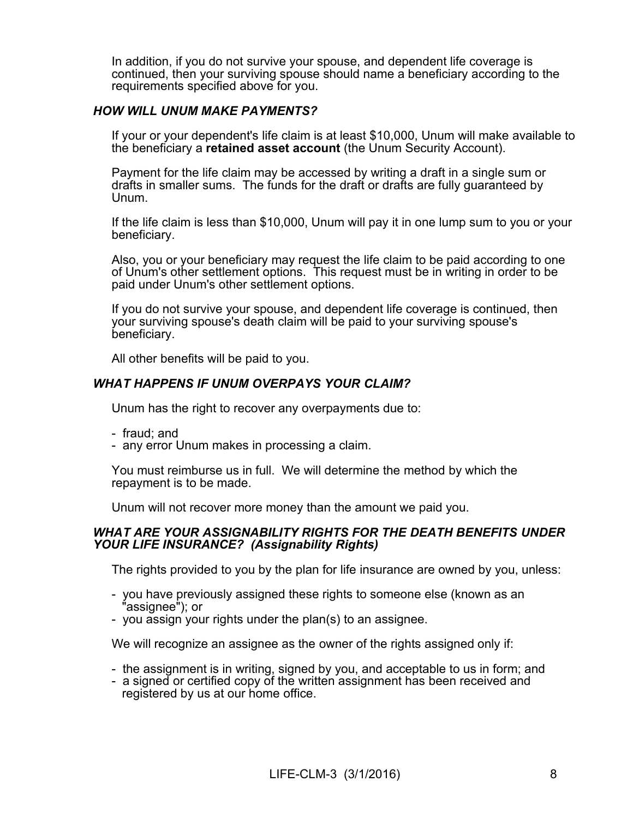In addition, if you do not survive your spouse, and dependent life coverage is continued, then your surviving spouse should name a beneficiary according to the requirements specified above for you.

## HOW WILL UNUM MAKE PAYMENTS?

If your or your dependent's life claim is at least \$10,000, Unum will make available to the beneficiary a retained asset account (the Unum Security Account).

Payment for the life claim may be accessed by writing a draft in a single sum or drafts in smaller sums. The funds for the draft or drafts are fully guaranteed by Unum.

If the life claim is less than \$10,000, Unum will pay it in one lump sum to you or your beneficiary.

Also, you or your beneficiary may request the life claim to be paid according to one of Unum's other settlement options. This request must be in writing in order to be paid under Unum's other settlement options.

If you do not survive your spouse, and dependent life coverage is continued, then your surviving spouse's death claim will be paid to your surviving spouse's beneficiary.

All other benefits will be paid to you.

## WHAT HAPPENS IF UNUM OVERPAYS YOUR CLAIM?

Unum has the right to recover any overpayments due to:

- fraud; and
- any error Unum makes in processing a claim.

You must reimburse us in full. We will determine the method by which the repayment is to be made.

Unum will not recover more money than the amount we paid you.

#### WHAT ARE YOUR ASSIGNABILITY RIGHTS FOR THE DEATH BENEFITS UNDER YOUR LIFE INSURANCE? (Assignability Rights)

The rights provided to you by the plan for life insurance are owned by you, unless:

- you have previously assigned these rights to someone else (known as an "assignee"); or
- you assign your rights under the plan(s) to an assignee.

We will recognize an assignee as the owner of the rights assigned only if:

- the assignment is in writing, signed by you, and acceptable to us in form; and
- a signed or certified copy of the written assignment has been received and registered by us at our home office.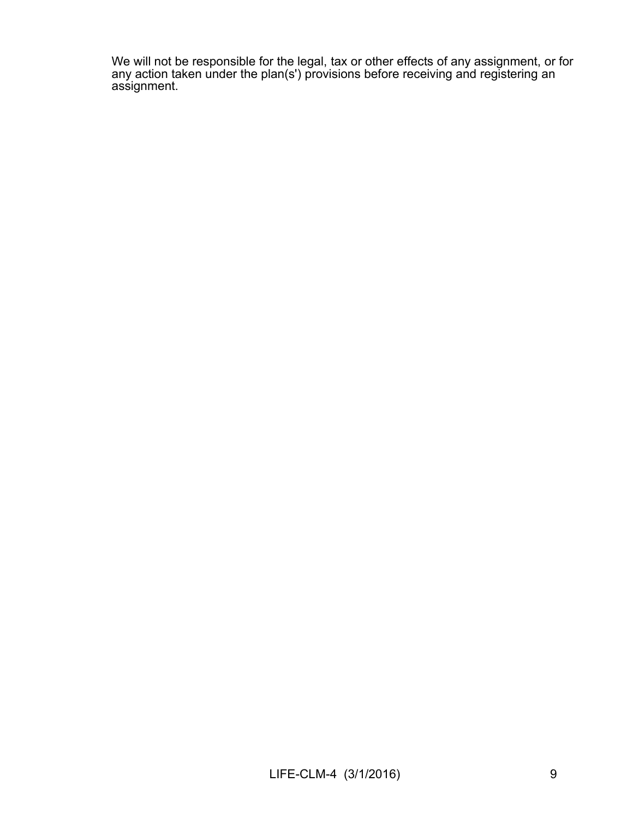We will not be responsible for the legal, tax or other effects of any assignment, or for any action taken under the plan(s') provisions before receiving and registering an assignment.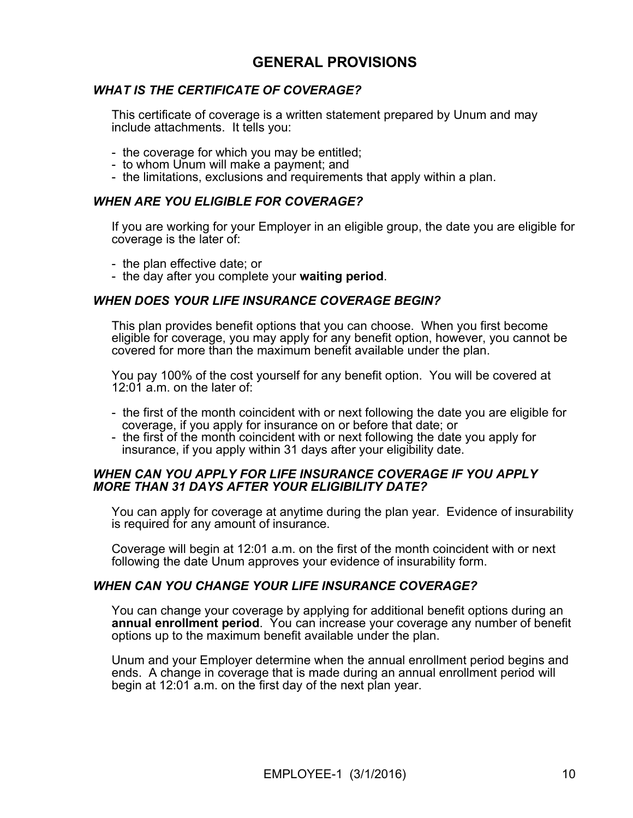# GENERAL PROVISIONS

# WHAT IS THE CERTIFICATE OF COVERAGE?

This certificate of coverage is a written statement prepared by Unum and may include attachments. It tells you:

- the coverage for which you may be entitled; to whom Unum will makea payment; and
- 
- the limitations, exclusions and requirements that apply within a plan.

#### WHEN ARE YOU ELIGIBLE FOR COVERAGE?

If you are working for your Employer in an eligible group, the date you are eligible for coverage is the later of:

- the plan effective date; or
- the day after you complete your waiting period.

#### WHEN DOES YOUR LIFE INSURANCE COVERAGE BEGIN?

This plan provides benefit options that you can choose. When you first become eligible for coverage, you may apply for any benefit option, however, you cannot be covered for more than the maximum benefit available under the plan.

You pay 100% of the cost yourself for any benefit option. You will be covered at 12:01 a.m. on the later of:

- the first of the month coincident with or next following the date you are eligible for coverage, if you apply for insurance on or before that date; or
- the first of the month coincident with or next following the date you apply for insurance, if you apply within 31 days after your eligibility date.

#### WHEN CAN YOU APPLY FOR LIFE INSURANCE COVERAGE IF YOU APPLY MORE THAN 31 DAYS AFTER YOUR ELIGIBILITY DATE?

You can apply for coverage at anytime during the plan year. Evidence of insurability is required for any amount of insurance.

Coverage will begin at 12:01 a.m. on the first of the month coincident with or next following the date Unum approves your evidence of insurability form.

#### WHEN CAN YOU CHANGE YOUR LIFE INSURANCE COVERAGE?

You can change your coverage by applying for additional benefit options during an annual enrollment period. You can increase your coverage any number of benefit options up to the maximum benefit available under the plan.

Unum and your Employer determine when the annual enrollment period begins and ends. A change in coverage that is made during an annual enrollment period will begin at 12:01 a.m. on the first day of the next plan year.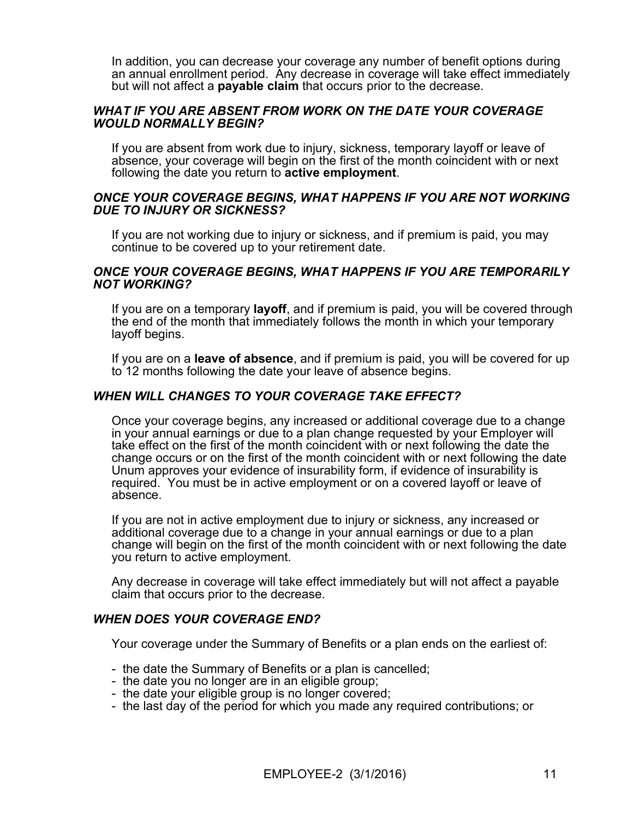In addition, you can decrease your coverage any number of benefit options during an annual enrollment period. Any decrease in coverage will take effect immediately but will not affect a **payable claim** that occurs prior to the decrease.

#### WHAT IF YOU ARE ABSENT FROM WORK ON THE DATE YOUR COVERAGE WOULD NORMALLY BEGIN?

If you are absent from work due to injury, sickness, temporary layoff or leave of absence, your coverage will begin on the first of the month coincident with or next following the date you return to active employment.

#### ONCE YOUR COVERAGE BEGINS, WHAT HAPPENS IF YOU ARE NOT WORKING DUE TO INJURY OR SICKNESS?

If you are not working due to injury or sickness, and if premium is paid, you may continue to be covered up to your retirement date.

#### ONCE YOUR COVERAGE BEGINS, WHAT HAPPENS IF YOU ARE TEMPORARILY NOT WORKING?

If you are on a temporary layoff, and if premium is paid, you will be covered through the end of the month that immediately follows the month in which your temporary layoff begins.

If you are on a leave of absence, and if premium is paid, you will be covered for up to 12 months following the date your leave of absence begins.

#### WHEN WILL CHANGES TO YOUR COVERAGE TAKE EFFECT?

Once your coverage begins, any increased or additional coverage due to a change in your annual earnings or due to a plan change requested by your Employer will take effect on the first of the month coincident with or next following the date the change occurs or on the first of the month coincident with or next following the date Unum approves your evidence of insurability form, if evidence of insurability is required. You must be in active employment or on a covered layoffor leave of absence.

If you are not in active employment due to injury or sickness, any increased or additional coverage due to a change in your annual earnings or due to a plan change will begin on the first of the month coincident with or next following the date you return to active employment.

Any decrease in coverage will take effect immediately but will not affect a payable claim that occurs prior to the decrease.

#### WHEN DOES YOUR COVERAGE END?

Your coverage under the Summary of Benefits or a plan ends on the earliest of:

- the date the Summary of Benefits or a plan is cancelled;<br>- the date you no longer are in an eligible group;
- 
- the date your eligible group is no longer covered;
- the last day of the period for which you made any required contributions; or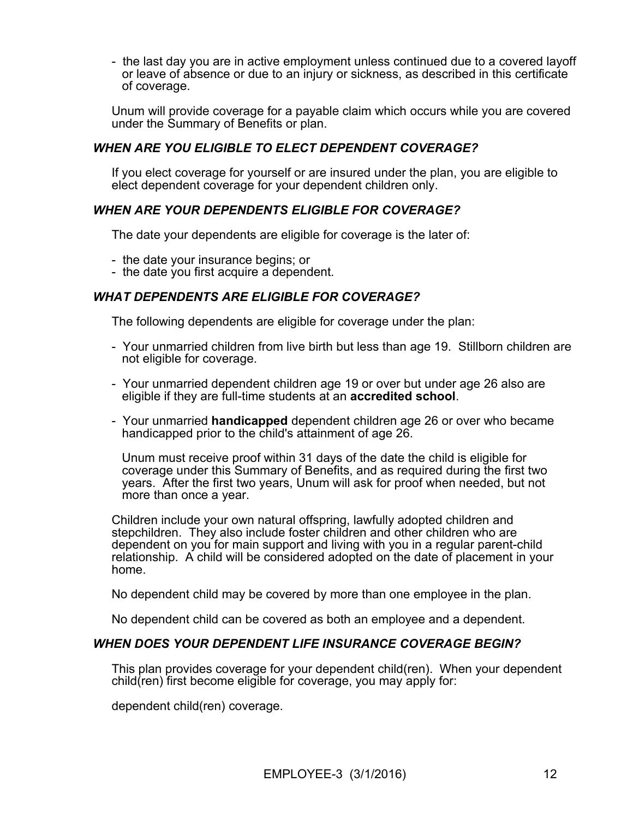- the last day you are in active employment unless continued due to a covered layoff or leave of absence or due to an injury or sickness, as described in this certificate of coverage.

Unum will provide coverage fora payable claim which occurs while you are covered under the Summary of Benefits or plan.

# WHEN ARE YOU ELIGIBLE TO ELECT DEPENDENT COVERAGE?

If you elect coverage for yourself or are insured under the plan, you are eligible to elect dependent coverage for your dependent children only.

### WHEN ARE YOUR DEPENDENTS ELIGIBLE FOR COVERAGE?

The date your dependents are eligible for coverage is the later of:

- the date your insurance begins; or
- the date you first acquire a dependent.

## WHAT DEPENDENTS ARE ELIGIBLE FOR COVERAGE?

The following dependents are eligible for coverage under the plan:

- Your unmarried children from live birth but less than age 19. Stillborn children are not eligible for coverage.
- Your unmarried dependent children age 19 or over but under age 26 also are eligible if they are full-time students at an accredited school.
- Your unmarried handicapped dependent children age 26 or over who became handicapped prior to the child's attainment of age 26.

Unum must receive proof within 31 days of the date the child is eligible for coverage under this Summary of Benefits, and as required during the first two years. After the first two years, Unum will ask for proof when needed, but not more than once a year.

Children include your own natural offspring, lawfully adopted children and stepchildren. They also include foster children and other children who are dependent on you for main support and living with you in a regular parent-child relationship. A child will be considered adopted on the date of placement in your home.

No dependent child may be covered by more than one employee in the plan.

No dependent child can be covered as both an employee and a dependent.

#### WHEN DOES YOUR DEPENDENT LIFE INSURANCE COVERAGE BEGIN?

This plan provides coverage for your dependent child(ren). When your dependent child(ren) first become eligible for coverage, you may apply for:

dependent child(ren) coverage.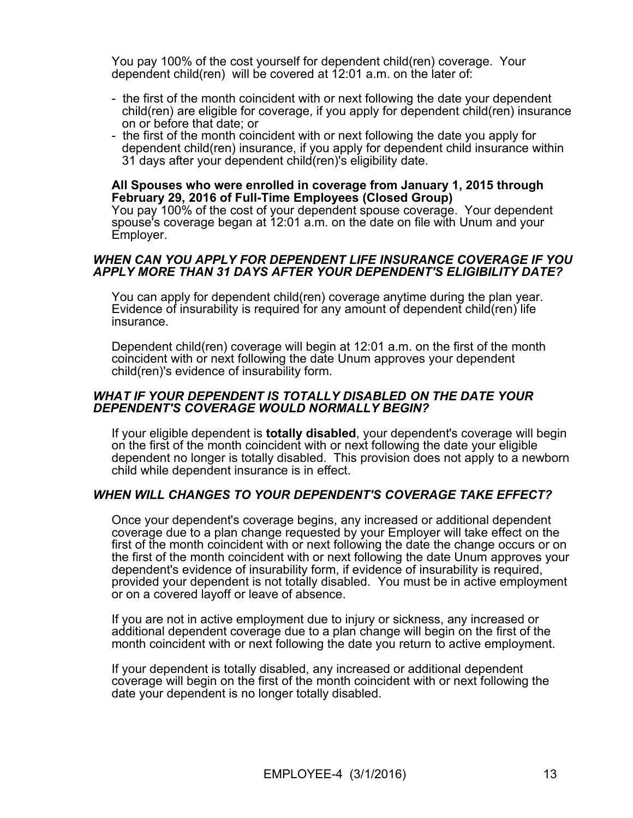You pay 100% of the cost yourself for dependent child(ren) coverage. Your dependent child(ren) will be covered at 12:01 a.m. on the later of:

- the first of the month coincident with or next following the date your dependent child(ren) are eligible for coverage, if you apply for dependent child(ren) insurance on or before that date; or
- the first of the month coincident with or next following the date you apply for dependent child(ren) insurance, if you apply for dependent child insurance within 31 days after your dependent child(ren)'s eligibility date.

#### All Spouses who were enrolled in coverage from January 1, 2015 through February 29, 2016 of Full-Time Employees (Closed Group)

You pay 100% of the cost of your dependent spouse coverage. Your dependent spouse's coverage began at 12:01 a.m. on the date on file with Unum and your Employer.

#### WHEN CAN YOU APPLY FOR DEPENDENT LIFE INSURANCE COVERAGE IF YOU APPLY MORE THAN 31 DAYS AFTER YOUR DEPENDENT'S ELIGIBILITY DATE?

You can apply for dependent child(ren) coverage anytime during the plan year.<br>Evidence of insurability is required for any amount of dependent child(ren) life insurance.

Dependent child(ren) coverage will begin at 12:01 a.m. on the first of the month coincident with or next following the date Unum approves your dependent child(ren)'s evidence of insurability form.

#### WHAT IF YOUR DEPENDENT IS TOTALLY DISABLED ON THE DATE YOUR DEPENDENT'S COVERAGE WOULD NORMALLY BEGIN?

If your eligible dependent is totally disabled, your dependent's coverage will begin on the first of the month coincident with or next following the date your eligible dependent no longer is totally disabled. This provision does not apply to a newborn child while dependent insurance is in effect.

#### WHEN WILL CHANGES TO YOUR DEPENDENT'S COVERAGE TAKE EFFECT?

Once your dependent's coverage begins, any increased or additional dependent coverage due to a plan change requested by your Employer will take effect on the first of the month coincident with or next following the date the change occurs or on the first of the month coincident with or next following the date Unum approves your dependent's evidence of insurability form, if evidence of insurability is required, provided your dependent is not totally disabled. You must be in active employment or on a covered layoff or leave of absence.

If you are not in active employment due to injury or sickness, any increased or additional dependent coverage due to a plan change will begin on the first of the month coincident with or next following the date you return to active employment.

If your dependent is totally disabled, any increased or additional dependent coverage will begin on the first of the month coincident with or next following the date your dependent is no longer totally disabled.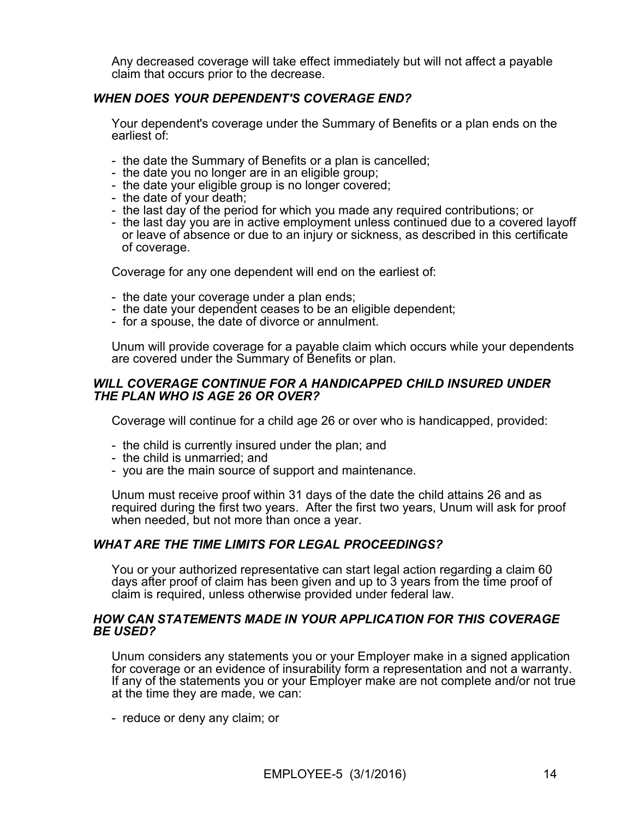Any decreased coverage will take effect immediately but will not affect a payable claim that occurs prior to the decrease.

# WHEN DOES YOUR DEPENDENT'S COVERAGE END?

Your dependent's coverage under the Summary of Benefits or a plan ends on the earliest of:

- the date the Summary of Benefits or a plan is cancelled;<br>- the date you no longer are in an eligible group;
- 
- the date your eligible group is no longer covered;
- 
- the date of your death;<br>- the last day of the period for which you made any required contributions; or
- the last day you are in active employment unless continued due to a covered layoff or leave of absence or due to an injury or sickness, as described in this certificate of coverage.

Coverage for any one dependent will end on the earliest of:

- 
- the date your coverage under a plan ends;<br>- the date your dependent ceases to be an eligible dependent;<br>- for a spouse, the date of divorce or annulment.
- 

Unum will provide coverage fora payable claim which occurs while your dependents are covered under the Summary of Benefits or plan.

#### WILL COVERAGE CONTINUE FOR A HANDICAPPED CHILD INSURED UNDER THE PLAN WHO IS AGE 26 OR OVER?

Coverage will continue for a child age 26 or over who is handicapped, provided:

- the child is currently insured under the plan; and
- the child is unmarried; and
- you are the main source of support and maintenance.

Unum must receive proof within 31 days of the date the child attains 26 and as required during the first two years. After the first two years, Unum will ask for proof when needed, but not more than once a year.

#### WHAT ARE THE TIME LIMITS FOR LEGAL PROCEEDINGS?

You or your authorized representative can start legal action regarding a claim 60 days after proof of claim has been given and up to 3 years from the time proof of claim is required, unless otherwise provided under federal law.

#### HOW CAN STATEMENTS MADE IN YOUR APPLICATION FOR THIS COVERAGE BE USED?

Unum considers any statements you or your Employer make in a signed application for coverage or an evidence of insurability form a representation and not a warranty. If any of the statements you or your Employer make are not complete and/or not true at the time they are made, we can:

- reduce or deny any claim; or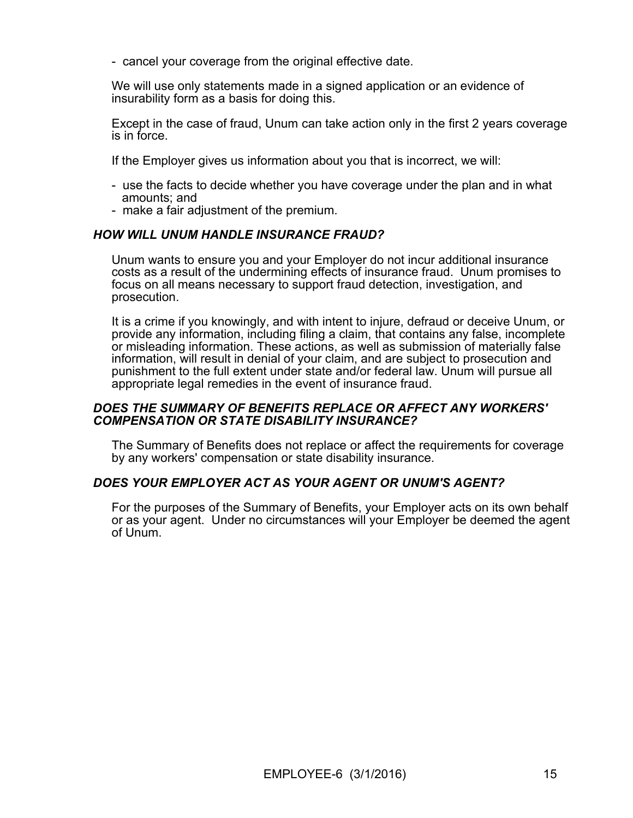- cancel your coverage from the original effective date.

We will use only statements made in a signed application or an evidence of insurability form as a basis for doing this.

Except in the case of fraud, Unum can take action only in the first 2 years coverage is in force.

If the Employer gives us information about you that is incorrect,we will:

- use the facts to decide whether you have coverage under the plan and in what amounts; and
- make a fair adjustment of the premium.

## HOW WILL UNUM HANDLE INSURANCE FRAUD?

Unum wants to ensure you and your Employer do not incur additional insurance costs as a result of the undermining effects of insurance fraud. Unum promises to focus on all means necessary to support fraud detection, investigation, and prosecution.

It is a crime if you knowingly, and with intent to injure, defraud or deceive Unum, or provide any information, including filing a claim, that contains any false, incomplete or misleading information. These actions, as well as submission of materially false information, will result in denial of your claim, and are subject to prosecution and punishment to the full extent under state and/or federal law. Unum will pursue all appropriate legal remedies in the event of insurance fraud.

#### DOES THE SUMMARY OF BENEFITS REPLACE OR AFFECT ANY WORKERS' COMPENSATION OR STATE DISABILITY INSURANCE?

The Summary of Benefits does not replace or affect the requirements for coverage by any workers' compensation or state disability insurance.

#### DOES YOUR EMPLOYER ACT AS YOUR AGENT OR UNUM'S AGENT?

For the purposes of the Summary of Benefits, your Employer acts on its own behalf or as your agent. Under no circumstances will your Employer be deemed the agent of Unum.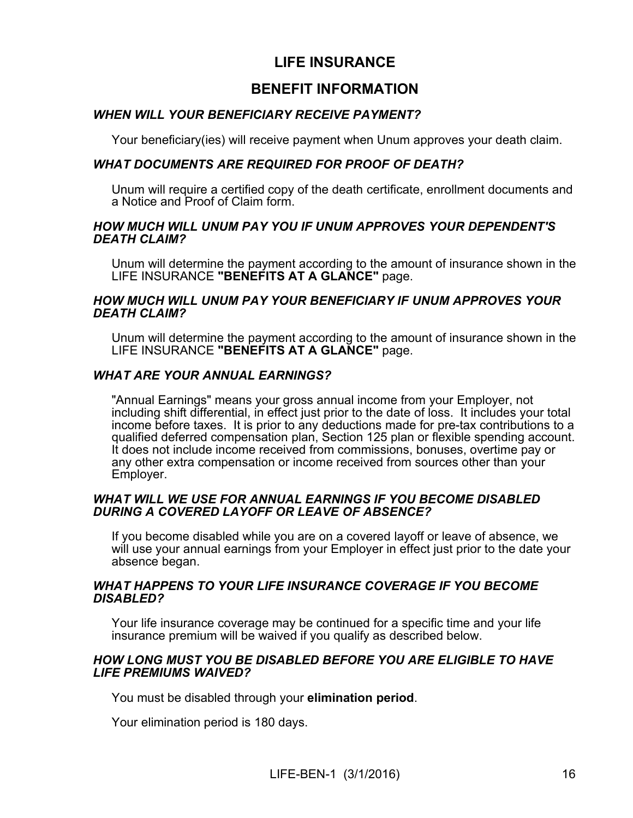# LIFE INSURANCE

# BENEFIT INFORMATION

# WHEN WILL YOUR BENEFICIARY RECEIVE PAYMENT?

Your beneficiary(ies) will receive payment when Unum approves your death claim.

## WHAT DOCUMENTS ARE REQUIRED FOR PROOF OF DEATH?

Unum will require a certified copy of the death certificate, enrollment documents and a Notice and Proof of Claim form.

#### HOW MUCH WILL UNUM PAY YOU IF UNUM APPROVES YOUR DEPENDENT'S DEATH CLAIM?

Unum will determine the payment according to the amount of insurance shown in the LIFE INSURANCE "BENEFITS AT A GLANCE" page.

#### HOW MUCH WILL UNUM PAY YOUR BENEFICIARY IF UNUM APPROVES YOUR DEATH CLAIM?

Unum will determine the payment according to the amount of insurance shown in the LIFE INSURANCE "BENEFITS AT A GLANCE" page.

## WHAT ARE YOUR ANNUAL EARNINGS?

"Annual Earnings" means your gross annual income from your Employer, not including shift differential, in effect just prior to the date of loss. It includes your total income before taxes. It is prior to any deductions made for pre-tax contributions to a qualified deferred compensation plan, Section 125 plan or flexible spending account. It does not include income received from commissions, bonuses, overtime pay or any other extra compensation or income received from sources other than your Employer.

#### WHAT WILL WE USE FOR ANNUAL EARNINGS IF YOU BECOME DISABLED DURING A COVERED LAYOFF OR LEAVE OF ABSENCE?

If you become disabled while you are on a covered layoff or leave of absence, we will use your annual earnings from your Employer in effect just prior to the date your absence began.

#### WHAT HAPPENS TO YOUR LIFE INSURANCE COVERAGE IF YOU BECOME DISABLED?

Your life insurance coverage may be continued for a specific time and your life insurance premium will be waived if you qualify as described below.

## HOW LONG MUST YOU BE DISABLED BEFORE YOU ARE ELIGIBLE TO HAVE LIFE PREMIUMS WAIVED?

You must be disabled through your elimination period.

Your elimination period is 180 days.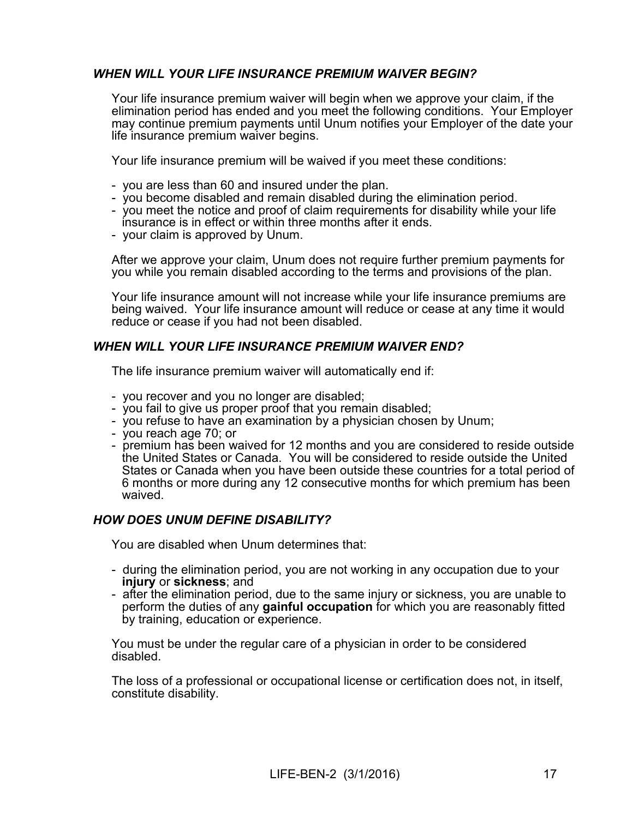# WHEN WILL YOUR LIFE INSURANCE PREMIUM WAIVER BEGIN?

Your life insurance premium waiver will begin when we approve your claim, if the elimination period has ended and you meet the following conditions. Your Employer may continue premium payments until Unum notifies your Employer of the date your life insurance premium waiver begins.

Your life insurance premium will be waived if you meet these conditions:

- you are less than 60 and insured under the plan.
- 
- you become disabled and remain disabled during the elimination period. you meet the notice and proof of claim requirements for disability while your life insurance is in effect or within three months after it ends.
- your claim is approved by Unum.

After we approve your claim, Unum does not require further premium payments for you while you remain disabled according to the terms and provisions of the plan.

Your life insurance amount will not increase while your life insurance premiums are being waived. Your life insurance amount will reduce or cease at any time it would reduce or cease if you had not been disabled.

## WHEN WILL YOUR LIFE INSURANCE PREMIUM WAIVER END?

The life insurance premium waiver will automatically end if:

- you recover and you no longer are disabled;
- you fail to give us proper proof that you remain disabled;
- you refuse to have an examination by <sup>a</sup> physician chosen by Unum; you reach age 70; or
- 
- premium has been waived for 12 months and you are considered to reside outside the United States or Canada. You will be considered to reside outside the United States or Canada when you have been outside these countries for a total period of 6 months or more during any 12 consecutive months for which premium has been waived.

#### HOW DOES UNUM DEFINE DISABILITY?

You are disabled when Unum determines that:

- during the elimination period, you are not working in any occupation due to your injury or sickness; and
- after the elimination period, due to the same injury or sickness, you are unable to perform the duties of any gainful occupation for which you are reasonably fitted by training, education or experience.

You must be under the regular care of a physician in order to be considered disabled.

The loss of a professional or occupational license or certification does not, in itself, constitute disability.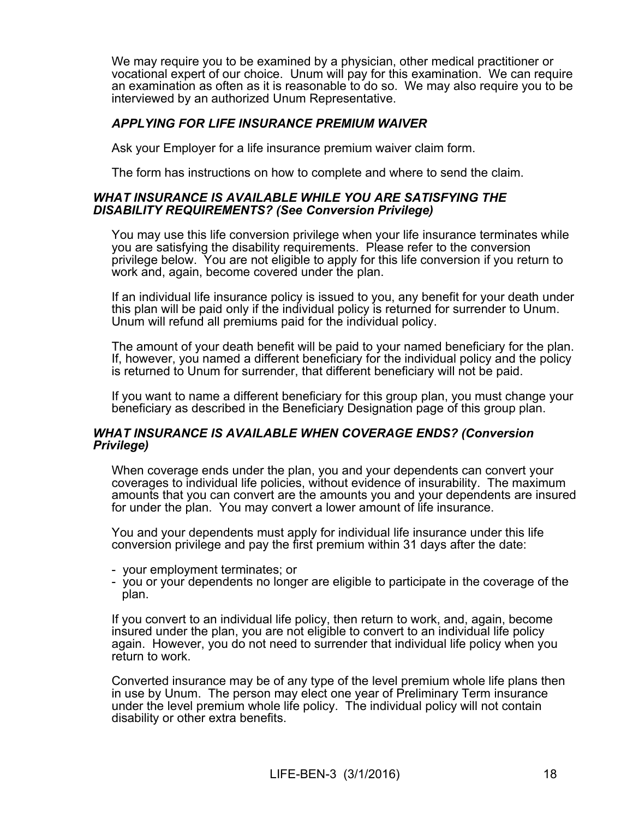We may require you to be examined by a physician, other medical practitioner or vocational expert of our choice. Unum will pay for this examination. We can require an examination as often as it is reasonable to do so. We may also require you to be interviewed by an authorized Unum Representative.

## APPLYING FOR LIFE INSURANCE PREMIUM WAIVER

Ask your Employer for a life insurance premium waiver claim form.

The form has instructions on how to complete and where to send the claim.

#### WHAT INSURANCE IS AVAILABLE WHILE YOU ARE SATISFYING THE DISABILITY REQUIREMENTS? (See Conversion Privilege)

You may use this life conversion privilege when your life insurance terminates while you are satisfying the disability requirements. Please refer to the conversion privilege below. You are not eligible to apply for this life conversion if you return to work and, again, become covered under the plan.

If an individual life insurance policy is issued to you, any benefit for your death under this plan will be paid only if the individual policy is returned for surrender to Unum. Unum will refund all premiums paid for the individual policy.

The amount of your death benefit will be paid to your named beneficiary for the plan. If, however, you named a different beneficiary for the individual policy and the policy is returned to Unum for surrender, that different beneficiary will not be paid.

If you want to name a different beneficiary for this group plan, you must change your beneficiary as described in the Beneficiary Designation page of this group plan.

#### WHAT INSURANCE IS AVAILABLE WHEN COVERAGE ENDS? (Conversion Privilege)

When coverage ends under the plan, you and your dependents can convert your coverages to individual life policies, without evidence of insurability. The maximum amounts that you can convert are the amounts you and your dependents are insured for under the plan. You may convert a lower amount of life insurance.

You and your dependents must apply for individual life insurance under this life conversion privilege and pay the first premium within 31 days after the date:

- your employment terminates; or
- you or your dependents no longer are eligible to participate in the coverage of the plan.

If you convert to an individual life policy, then return to work, and, again, become insured under the plan, you are not eligible to convert to an individual life policy again. However, you do not need to surrender that individual life policy when you return to work.

Converted insurance may be of any type of the level premium whole life plans then in use by Unum. The person may elect one year of Preliminary Term insurance under the level premium whole life policy. The individual policy will not contain disability or other extra benefits.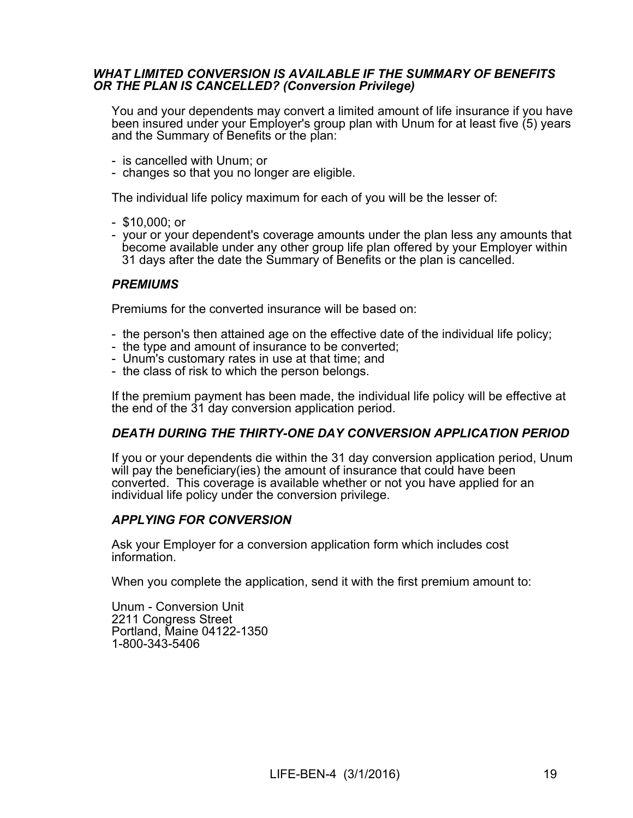#### WHAT LIMITED CONVERSION IS AVAILABLE IF THE SUMMARY OF BENEFITS OR THE PLAN IS CANCELLED? (Conversion Privilege)

You and your dependents may convert a limited amount of life insurance if you have been insured under your Employer's group plan with Unum for at least five (5) years and the Summary of Benefits or the plan:

- is cancelled with Unum; or
- changes so that you no longer are eligible.

The individual life policy maximum for each of you will be the lesser of:

- \$10,000; or
- your or your dependent's coverage amounts under the plan less any amounts that become available under any other group life plan offered by your Employer within 31 days after the date the Summary of Benefits or the plan is cancelled.

#### **PREMIUMS**

Premiums for the converted insurance will be based on:

- the person's then attained age on the effective date of the individual life policy;
- the type and amount of insurance to be converted;<br>- Unum's customary rates in use at that time; and
- 
- the class of risk to which the person belongs.

If the premium payment has been made, the individual life policy will be effective at the end of the 31 day conversion application period.

# DEATH DURING THE THIRTY-ONE DAY CONVERSION APPLICATION PERIOD

If you or your dependents die within the 31 day conversion application period, Unum will pay the beneficiary(ies) the amount of insurance that could have been converted. This coverage is available whether or not you have applied for an individual life policy under the conversion privilege.

#### APPLYING FOR CONVERSION

Ask your Employer for a conversion application form which includes cost information.

When you complete the application, send it with the first premium amount to:

Unum - Conversion Unit 2211 Congress Street Portland, Maine 04122-1350 1-800-343-5406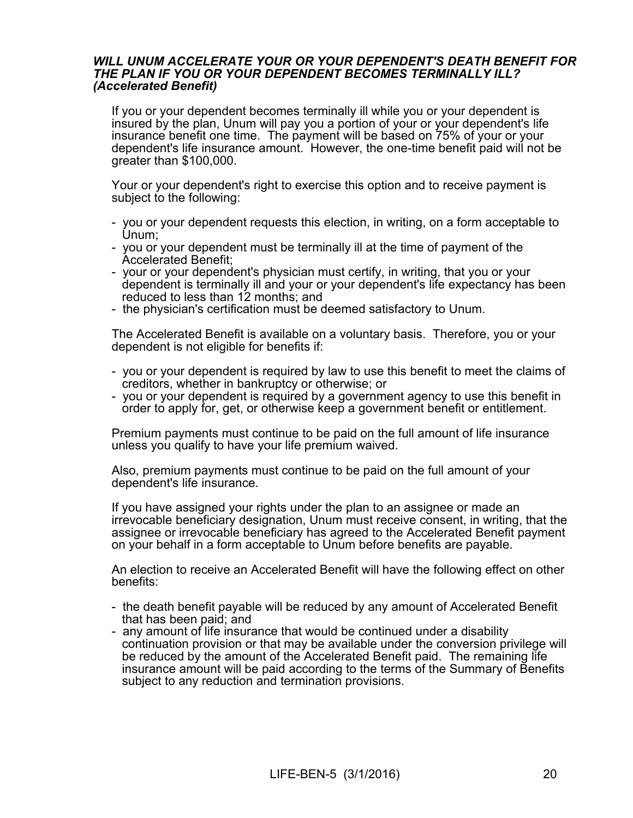#### WILL UNUM ACCELERATE YOUR OR YOUR DEPENDENT'S DEATH BENEFIT FOR THE PLAN IF YOU OR YOUR DEPENDENT BECOMES TERMINALLY ILL? (Accelerated Benefit)

If you or your dependent becomes terminally ill while you or your dependent is insured by the plan, Unum will pay you a portion of your or your dependent's life insurance benefit one time. The payment will be based on 75% of your or your dependent's life insurance amount. However, the one-time benefit paid will not be greater than \$100,000.

Your or your dependent's right to exercise this option and to receive payment is subject to the following:

- you or your dependent requests this election, in writing, on a form acceptable to Unum;<br>- you or your dependent must be terminally ill at the time of payment of the
- 
- Accelerated Benefit;<br>- your or your dependent's physician must certify, in writing, that you or your dependent is terminally ill and your or your dependent's life expectancy has been reduced to less than 12 months; and
- the physician's certification must be deemed satisfactory to Unum.

The Accelerated Benefit is available on a voluntary basis. Therefore, you or your dependent is not eligible for benefits if:

- you or your dependent is required by law to use this benefit to meet the claims of creditors, whether in bankruptcy or otherwise; or
- you or your dependent is required by a government agency to use this benefit in order to apply for, get, or otherwise keep a government benefit or entitlement.

Premium payments must continue to be paid on the full amount of life insurance unless you qualify to have your life premium waived.

Also, premium payments must continue to be paid on the full amount of your dependent's life insurance.

If you have assigned your rights under the plan to an assignee or made an irrevocable beneficiary designation, Unum must receive consent, in writing, that the assignee or irrevocable beneficiary has agreed to the Accelerated Benefit payment on your behalf in a form acceptable to Unum before benefits are payable.

An election to receive an Accelerated Benefit will have the following effect on other benefits:

- the death benefit payable will be reduced by any amount of Accelerated Benefit that has been paid; and
- any amount of life insurance that would be continued under a disability continuation provision or that may be available under the conversion privilege will be reduced by the amount of the Accelerated Benefit paid. The remaining life insurance amount will be paid according to the terms of the Summary of Benefits subject to any reduction and termination provisions.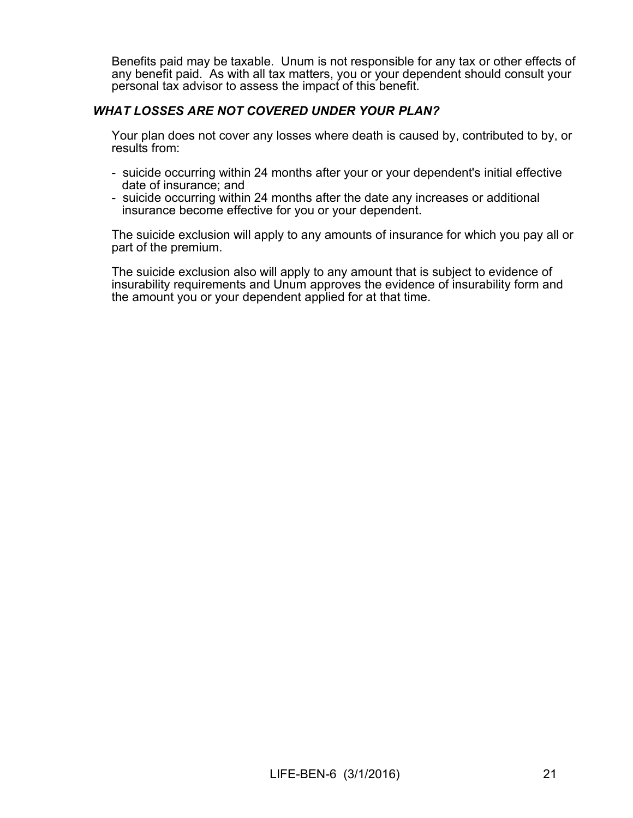Benefits paid may be taxable. Unum is not responsible for any tax or other effects of any benefit paid. As with all tax matters, you or your dependent should consult your personal tax advisor to assess the impact of this benefit.

## WHAT LOSSES ARE NOT COVERED UNDER YOUR PLAN?

Your plan does not cover any losses where death is caused by, contributed to by, or results from:

- suicide occurring within 24 months after your or your dependent's initial effective date of insurance; and
- suicide occurring within 24 months after the date any increases or additional insurance become effective for you or your dependent.

The suicide exclusion will apply to any amounts of insurance for which you pay all or part of the premium.

The suicide exclusion also will apply to any amount that is subject to evidence of insurability requirements and Unum approves the evidence of insurability form and the amount you or your dependent applied for at that time.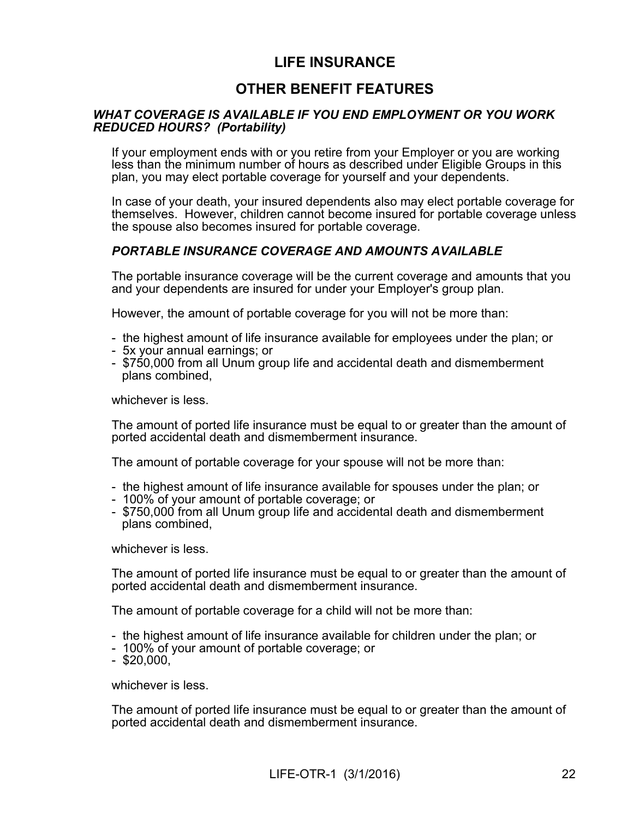# LIFE INSURANCE

# OTHER BENEFIT FEATURES

#### WHAT COVERAGE IS AVAILABLE IF YOU END EMPLOYMENT OR YOU WORK REDUCED HOURS? (Portability)

If your employment ends with or you retire from your Employer or you are working less than the minimum number of hours as described under Eligible Groups in this plan, you may elect portable coverage for yourself and your dependents.

In case of your death, your insured dependents also may elect portable coverage for themselves. However, children cannot become insured for portable coverage unless the spouse also becomes insured for portable coverage.

# PORTABLE INSURANCE COVERAGE AND AMOUNTS AVAILABLE

The portable insurance coverage will be the current coverage and amounts that you and your dependents are insured for under your Employer's group plan.

However, the amount of portable coverage for you will not be more than:

- the highest amount of life insurance available for employees under the plan; or
- 5x your annual earnings; or
- \$750,000 from all Unum group life and accidental death and dismemberment plans combined,

whichever is less.

The amount of ported life insurance must be equal to or greater than the amount of ported accidental death and dismemberment insurance.

The amount of portable coverage for your spouse will not be more than:

- the highest amount of life insurance available for spouses under the plan; or
- 100% of your amount of portable coverage; or
- \$750,000 from all Unum group life and accidental death and dismemberment plans combined,

whichever is less.

The amount of ported life insurance must be equal to or greater than the amount of ported accidental death and dismemberment insurance.

The amount of portable coverage for a child will not be more than:

- the highest amount of life insurance available for children under the plan; or
- 100% of your amount of portable coverage; or
- $-$  \$20,000,

whichever is less.

The amount of ported life insurance must be equal to or greater than the amount of ported accidental death and dismemberment insurance.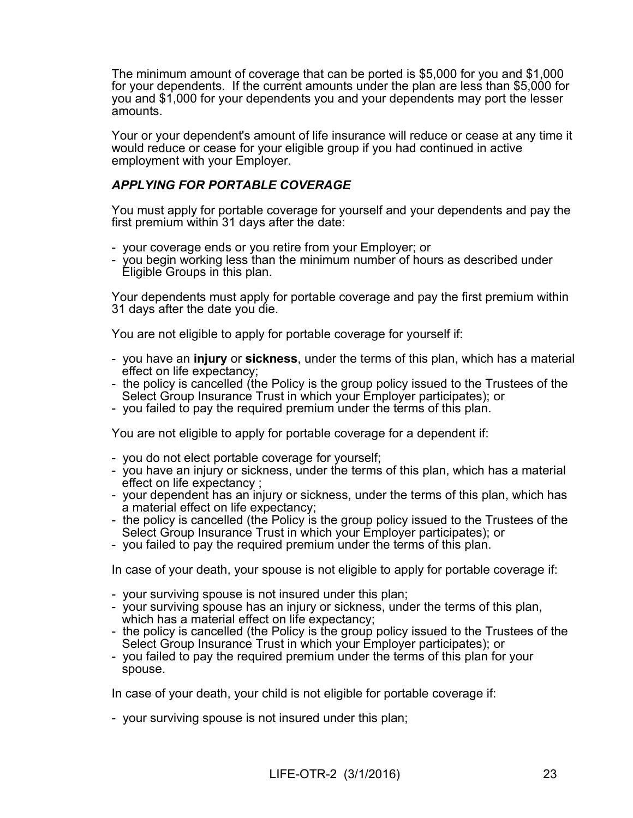The minimum amount of coverage that can be ported is \$5,000 for you and \$1,000 for your dependents. If the current amounts under the plan are less than \$5,000 for you and \$1,000 for your dependents you and your dependents may port the lesser amounts.

Your or your dependent's amount of life insurance will reduce or cease at any time it would reduce or cease for your eligible group if you had continued in active employment with your Employer.

# APPLYING FOR PORTABLE COVERAGE

You must apply for portable coverage foryourself and your dependents and pay the first premium within 31 days after the date:

- your coverage ends or you retire from your Employer; or
- you begin working less than the minimum number of hours as described under Eligible Groups in this plan.

Your dependents must apply for portable coverage and pay the first premium within 31 days after the date you die.<br>You are not eligible to apply for portable coverage for yourself if:

- you have an injury or sickness, under the terms of this plan, which has a material effect on life expectancy;<br>- the policy is cancelled (the Policy is the group policy issued to the Trustees of the
- Select Group Insurance Trust in which your Employer participates); or
- you failed to pay the required premium under the terms of this plan.

You are not eligible to apply for portable coverage for a dependent if:

- you do not elect portable coverage for yourself;
- you have an injury or sickness, under the terms of this plan, which has a material effect on life expectancy;
- your dependent has an injury or sickness, under the terms of this plan, which has a material effect on life expectancy;
- the policy is cancelled (the Policy is the group policy issued to the Trustees of the Select Group Insurance Trust in which your Employer participates); or
- you failed to pay the required premium under the terms of this plan.

In case of your death, your spouse is not eligible to apply for portable coverage if:

- your surviving spouse is not insured under this plan;
- your surviving spouse has an injury or sickness, under the terms of this plan, which has a material effect on life expectancy;
- the policy is cancelled (the Policy is the group policy issued to the Trustees of the Select Group Insurance Trust in which your Employer participates); or
- you failed to pay the required premium under the terms of this plan for your spouse.

In case of your death, your child is not eligible for portable coverage if:

- your surviving spouse is not insured under this plan;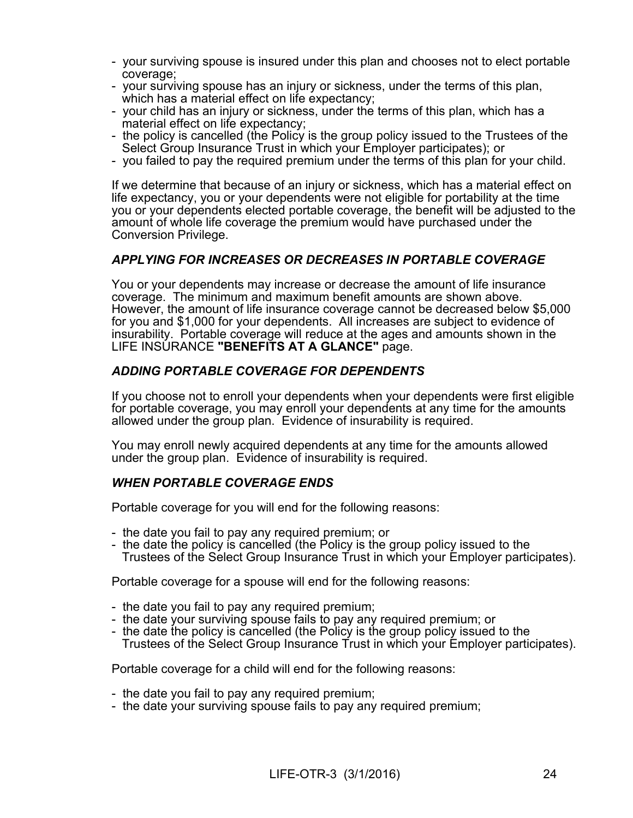- your surviving spouse is insured under this plan and chooses not to elect portable coverage;<br>- your surviving spouse has an injury or sickness, under the terms of this plan,
- which has a material effect on life expectancy;<br>- your child has an injury or sickness, under the terms of this plan, which has a
- 
- material effect on life expectancy;<br>- the policy is cancelled (the Policy is the group policy issued to the Trustees of the Select Group Insurance Trust in which your Employer participates); or
- you failed to pay the required premium under the terms of this plan for your child.

If we determine that because of an injury or sickness, which has a material effect on life expectancy, you or your dependents were not eligible for portability at the time you or your dependents elected portable coverage, the benefit will be adjusted to the amount of whole life coverage the premium would have purchased under the Conversion Privilege.

## APPLYING FOR INCREASES OR DECREASES IN PORTABLE COVERAGE

You or your dependents may increase or decrease the amount of life insurance coverage. The minimum and maximum benefit amounts are shown above. However, the amount of life insurance coverage cannot be decreased below \$5,000 for you and \$1,000 for your dependents. All increases are subject to evidence of insurability. Portable coverage will reduce at the ages and amounts shown in the LIFE INSURANCE "BENEFITS AT A GLANCE" page.

## ADDING PORTABLE COVERAGE FOR DEPENDENTS

If you choose not to enroll your dependents when your dependents were first eligible for portable coverage, you may enroll your dependents at any time for the amounts allowed under the group plan. Evidence of insurability is required.

You may enroll newly acquired dependents at any time for the amounts allowed under the group plan. Evidence of insurability is required.

#### WHEN PORTABLE COVERAGE ENDS

Portable coverage for you will end for the following reasons:

- the date you fail to pay any required premium; or
- the date the policy is cancelled (the Policy is the group policy issued to the Trustees of the Select Group Insurance Trust in which your Employer participates).

Portable coverage for a spouse will end for the following reasons:

- 
- the date you fail to pay any required premium;<br>- the date your surviving spouse fails to pay any required premium; or
- the date the policy is cancelled (the Policy is the group policy issued to the Trustees of the Select Group Insurance Trust in which your Employer participates).

Portable coverage for a child will end for the following reasons:

- the date you fail to pay any required premium;
- the date your surviving spouse fails to pay any required premium;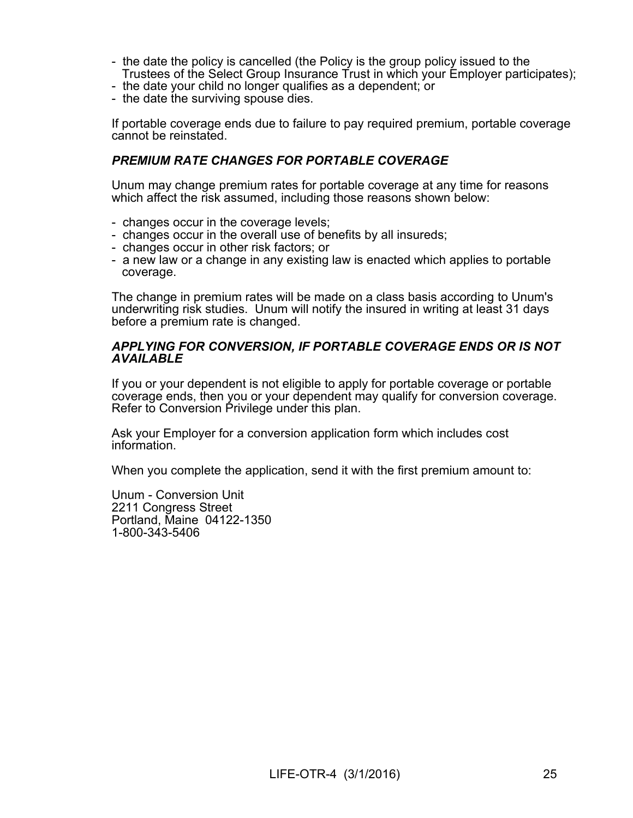- the date the policy is cancelled (the Policy is the group policy issued to the Trustees of the Select Group Insurance Trust in which your Employer participates); - the date your child no longer qualifies as <sup>a</sup> dependent; or
- 
- the date the surviving spouse dies.

If portable coverage ends due to failure to pay required premium, portable coverage cannot be reinstated.

## PREMIUM RATE CHANGES FOR PORTABLE COVERAGE

Unum may change premium rates for portable coverage at any time for reasons which affect the risk assumed, including those reasons shown below:

- changes occur in the coverage levels;
- changes occur in the overall use of benefits by all insureds; changes occur in other risk factors; or
- 
- a new law or a change in any existing law is enacted which applies to portable coverage.

The change in premium rates will be made on a class basis according to Unum's underwriting risk studies. Unum will notify the insured in writing at least 31 days before a premium rate is changed.

#### APPLYING FOR CONVERSION, IF PORTABLE COVERAGE ENDS OR IS NOT **AVAILABLE**

If you or your dependent is not eligible to apply for portable coverage or portable coverage ends, then you or your dependent may qualify for conversion coverage. Refer to Conversion Privilege under this plan.

Ask your Employer for a conversion application form which includes cost information.

When you complete the application, send it with the first premium amount to:

Unum - Conversion Unit 2211 Congress Street Portland, Maine 04122-1350 1-800-343-5406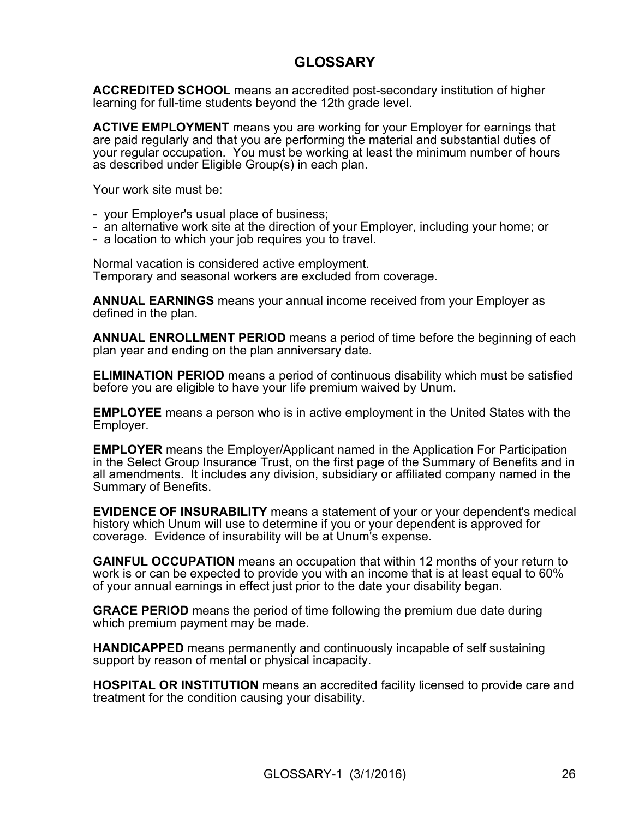# **GLOSSARY**

ACCREDITED SCHOOL means an accredited post-secondary institution of higher learning for full-time students beyond the 12th grade level.

**ACTIVE EMPLOYMENT** means you are working for your Employer for earnings that are paid regularly and that you are performing the material and substantial duties of your regular occupation. You must be working at least the minimum number of hours as described under Eligible Group(s) in each plan.

Your work site must be:

- your Employer's usual place of business;
- an alternative work site at the direction of your Employer, including your home; or
- a location to which your job requires you to travel.

Normal vacation is considered active employment. Temporary and seasonal workers are excluded from coverage.

ANNUAL EARNINGS means your annual income received from your Employer as defined in the plan.

**ANNUAL ENROLLMENT PERIOD** means a period of time before the beginning of each plan year and ending on the plan anniversary date.

ELIMINATION PERIOD means a period of continuous disability which must be satisfied before you are eligible to have your life premium waived by Unum.

EMPLOYEE means a person who is in active employment in the United States with the Employer.

EMPLOYER means the Employer/Applicant named in the Application For Participation in the Select Group Insurance Trust, on the first page of the Summary of Benefits and in all amendments. It includes any division, subsidiary or affiliated company named in the Summary of Benefits.

EVIDENCE OF INSURABILITY means a statement of your or your dependent's medical history which Unum will use to determine if you or your dependent is approved for coverage. Evidence of insurability will be at Unum's expense.

**GAINFUL OCCUPATION** means an occupation that within 12 months of your return to work is or can be expected to provide you with an income that is at least equal to 60% of your annual earnings in effect just prior to the date your disability began.

GRACE PERIOD means the period of time following the premium due date during which premium payment may be made.

HANDICAPPED means permanently and continuously incapable of self sustaining support by reason of mental or physical incapacity.

HOSPITAL OR INSTITUTION means an accredited facility licensed to provide care and treatment for the condition causing your disability.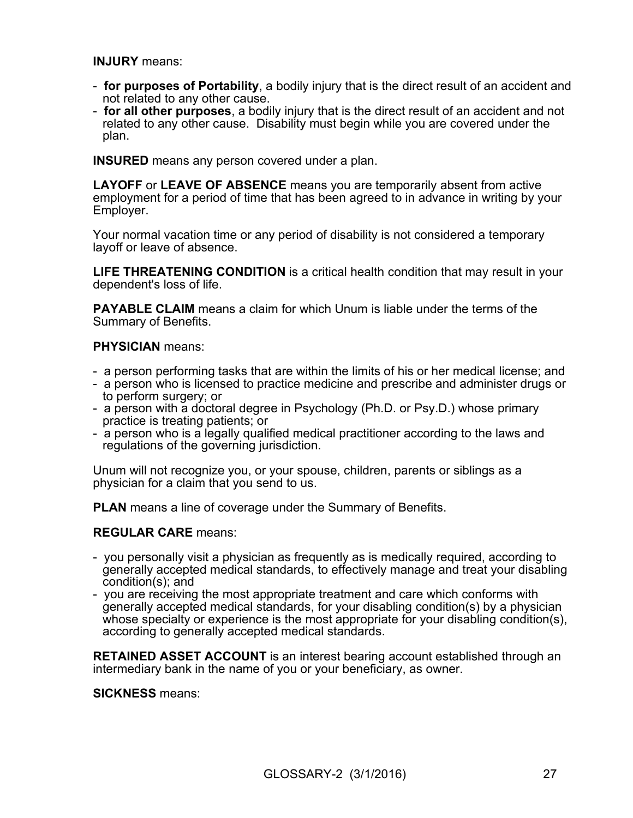INJURY means:

- for purposes of Portability, a bodily injury that is the direct result of an accident and not related to any other cause.<br>- **for all other purposes**, a bodily injury that is the direct result of an accident and not
- related to any other cause. Disability must begin while you are covered under the plan.

INSURED means any person covered under a plan.

LAYOFF or LEAVE OF ABSENCE means you are temporarily absent from active employment for a period of time that has been agreed to in advance in writing by your Employer.

Your normal vacation time or any period of disability is not considered a temporary layoff or leave of absence.

LIFE THREATENING CONDITION is a critical health condition that may result in your dependent's loss of life.

PAYABLE CLAIM means a claim for which Unum is liable under the terms of the Summary of Benefits.

#### PHYSICIAN means:

- a person performing tasks that are within the limits of his or her medical license; and
- a person who is licensed to practice medicine and prescribe and administer drugs or to perform surgery; or
- a person with a doctoral degree in Psychology (Ph.D. or Psy.D.) whose primary practice is treating patients; or
- a person who is a legally qualified medical practitioner according to the laws and regulations of the governing jurisdiction.

Unum will not recognize you, or your spouse, children, parents or siblings as a physician for a claim that you send to us.

**PLAN** means a line of coverage under the Summary of Benefits.

#### REGULAR CARE means:

- you personally visit a physician as frequently as is medically required, according to generally accepted medical standards, to effectively manage and treat your disabling condition(s); and
- you are receiving the most appropriate treatment and care which conforms with generally accepted medical standards, for your disabling condition(s) by a physician whose specialty or experience is the most appropriate for your disabling condition(s), according to generally accepted medical standards.

RETAINED ASSET ACCOUNT is an interest bearing account established through an intermediary bank in the name of you or your beneficiary, as owner.

SICKNESS means: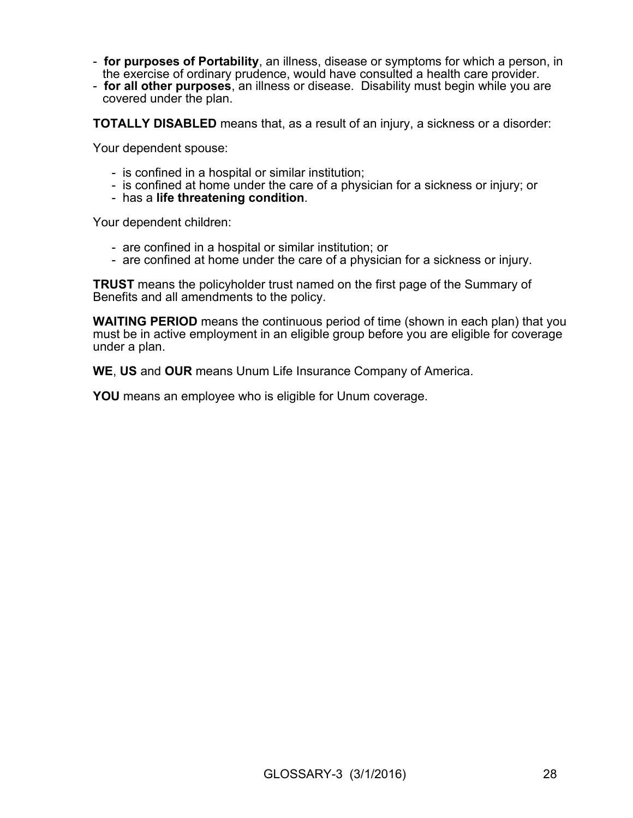- **for purposes of Portability**, an illness, disease or symptoms for which a person, in the exercise of ordinary prudence, would have consulted a health care provider.
- for all other purposes, an illness or disease. Disability must begin while you are covered under the plan.

TOTALLY DISABLED means that, as a result of an injury, a sickness or a disorder:

Your dependent spouse:

- is confined in a hospital or similar institution;
- is confined at home under the care of a physician for a sickness or injury; or
- has a life threatening condition.

Your dependent children:

- are confined in a hospital or similar institution; or
- are confined at home under the care of a physician for a sickness or injury.

**TRUST** means the policyholder trust named on the first page of the Summary of Benefits and all amendments to the policy.

WAITING PERIOD means the continuous period of time (shown in each plan) that you must be in active employment in an eligible group before you are eligible for coverage under a plan.

WE, US and OUR means Unum Life Insurance Company of America.

YOU means an employee who is eligible for Unum coverage.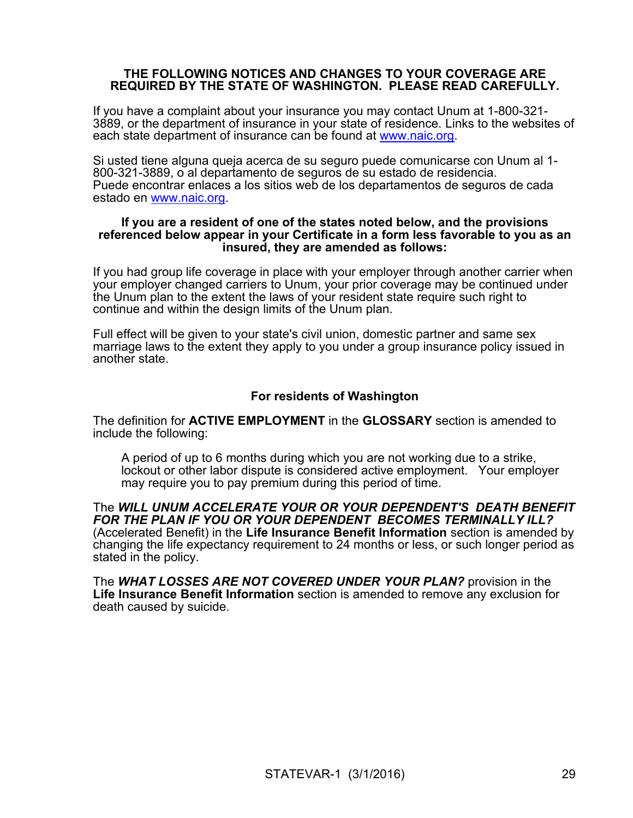#### THE FOLLOWING NOTICES AND CHANGES TO YOUR COVERAGE ARE REQUIRED BY THE STATE OF WASHINGTON. PLEASE READ CAREFULLY.

If you have a complaint about your insurance you may contact Unum at 1-800-321-3889, or the department of insurance in your state of residence. Links to the websites of each state department of insurance can be found at www.naic.org.

Si usted tiene alguna queja acerca de su seguro puede comunicarse con Unum al 1- 800-321-3889, o al departamento de seguros de su estado de residencia. Puede encontrar enlaces a los sitios web de los departamentos de seguros de cada estado en www.naic.org.

#### If you are a resident of one of the states noted below, and the provisions referenced below appear in your Certificate in a form less favorable to you as an insured, they are amended as follows:

If you had group life coverage in place with your employer through another carrier when your employer changed carriers to Unum, your prior coverage may be continued under the Unum plan to the extent the laws of your resident state require such right to continue and within the design limits of the Unum plan.

Full effect will be given to your state's civil union, domestic partner and same sex marriage laws to the extent they apply to you under a group insurance policy issued in another state.

## For residents of Washington

The definition for **ACTIVE EMPLOYMENT** in the **GLOSSARY** section is amended to include the following:

A period of up to 6 months during which you are not working due to a strike, lockout or other labor dispute is considered active employment. Your employer

may require you to pay premium during this period of time.<br>The WILL UNUM ACCELERATE YOUR OR YOUR DEPENDENT'S DEATH BENEFIT FOR THE PLAN IF YOU OR YOUR DEPENDENT BECOMES TERMINALLY ILL? (Accelerated Benefit) in the Life Insurance Benefit Information section is amended by changing the life expectancy requirement to 24 months or less, or such longer period as stated in the policy.<br>The *WHAT LOSSES ARE NOT COVERED UNDER YOUR PLAN?* provision in the

Life Insurance Benefit Information section is amended to remove any exclusion for death caused by suicide.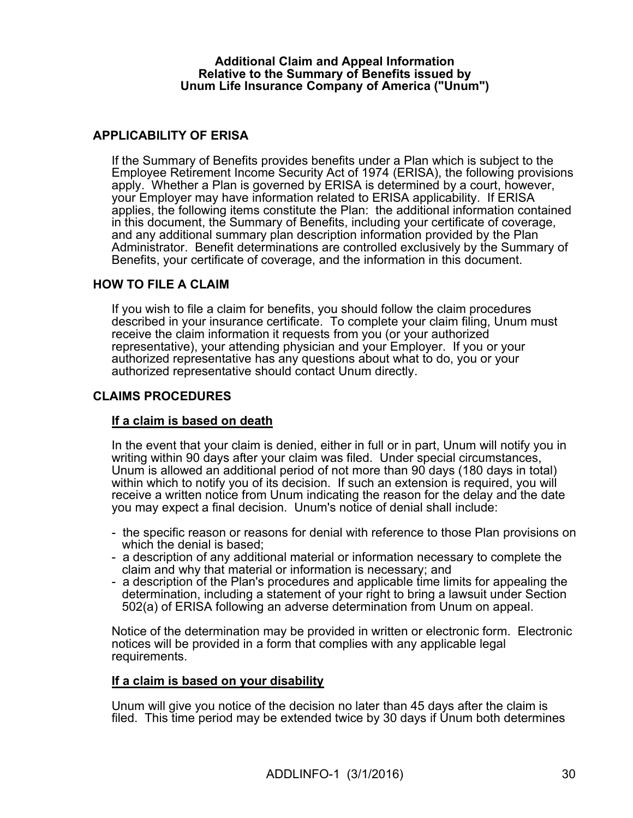#### Additional Claim and Appeal Information Relative to the Summary of Benefits issued by Unum Life Insurance Company of America ("Unum")

## APPLICABILITY OF ERISA

If the Summary of Benefits provides benefits under a Plan which is subject to the Employee Retirement Income Security Act of 1974 (ERISA), the following provisions apply. Whether a Plan is governed by ERISA is determined by a court, however, your Employer may have information related to ERISA applicability. If ERISA applies, the following items constitute the Plan: the additional information contained in this document, the Summary of Benefits, including your certificate of coverage, and any additional summary plan description information provided by the Plan Administrator. Benefit determinations are controlled exclusively by the Summary of Benefits, your certificate of coverage, and the information in this document.

#### HOW TO FILE A CLAIM

If you wish to file a claim for benefits, you should follow the claim procedures described in your insurance certificate. To complete your claim filing, Unum must receive the claim information it requests from you (or your authorized representative), your attending physician and your Employer. If you or your authorized representative has any questions about what to do, you or your authorized representative should contact Unum directly.

## CLAIMS PROCEDURES

#### If a claim is based on death

In the event that your claim is denied, either in full or in part, Unum will notify you in writing within 90 days after your claim was filed. Under special circumstances, Unum is allowed an additional period of not more than 90 days (180 days in total) within which to notify you of its decision. If such an extension is required, you will receive a written notice from Unum indicating the reason for the delay and the date you may expect a final decision. Unum's notice of denial shall include:

- the specific reason or reasons for denial with reference to those Plan provisions on which the denial is based;<br>- a description of any additional material or information necessary to complete the
- claim and why that material or information is necessary; and
- a description of the Plan's procedures and applicable time limits for appealing the determination, including a statement of your right to bring a lawsuit under Section 502(a) of ERISA following an adverse determination from Unum on appeal.

Notice of the determination may be provided in written or electronic form. Electronic notices will be provided in a form that complies with any applicable legal requirements.

#### If a claim is based on your disability

Unum will give you notice of the decision no later than 45 days after the claim is filed. This time period may be extended twice by 30 days if Unum both determines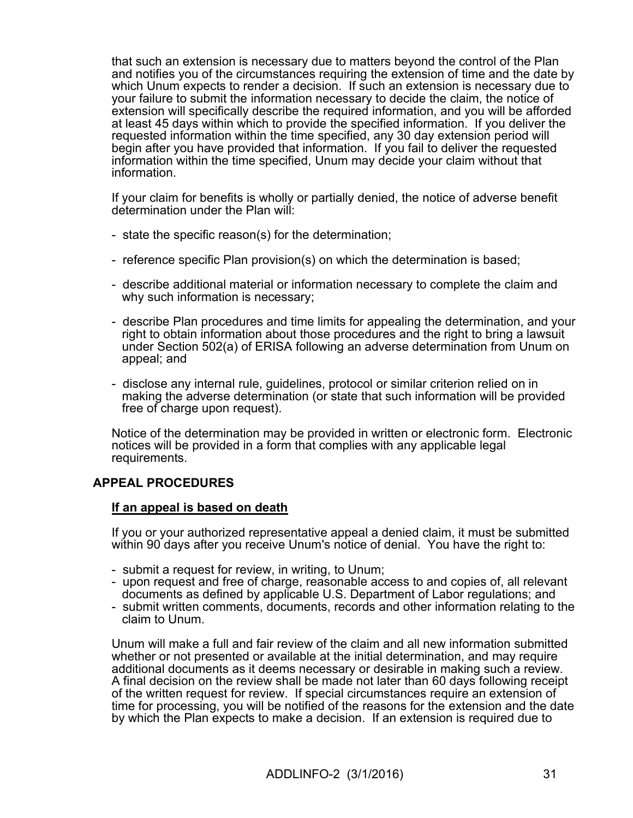that such an extension is necessary due to matters beyond the control of the Plan and notifies you of the circumstances requiring the extension of time and the date by which Unum expects to render a decision. If such an extension is necessary due to your failure to submit the information necessary to decide the claim, the notice of extension will specifically describe the required information, and you will be afforded at least 45 days within which to provide the specified information. If you deliver the requested information within the time specified, any 30 day extension period will begin after you have provided that information. If you fail to deliver the requested information within the time specified, Unum may decide your claim without that information.

If your claim for benefits is wholly or partially denied, the notice of adverse benefit determination under the Plan will:

- state the specific reason(s) for the determination;
- reference specific Plan provision(s) on which the determination is based;
- describe additional material or information necessary to complete the claim and why such information is necessary;<br>- describe Plan procedures and time limits for appealing the determination, and your
- right to obtain information about those procedures and the right to bring a lawsuit under Section 502(a) of ERISA following an adverse determination from Unum on appeal; and
- disclose any internal rule, guidelines, protocol or similar criterion relied on in making the adverse determination (or state that such information will be provided free of charge upon request).

Notice of the determination may be provided in written or electronic form. Electronic notices will be provided in a form that complies with any applicable legal requirements.

# APPEAL PROCEDURES

#### If an appeal is based on death

If you or your authorized representative appeal a denied claim, it must be submitted within 90 days after you receive Unum's notice of denial. You have the right to:

- submit a request for review, in writing, to Unum;
- upon request and free of charge, reasonable access to and copies of, all relevant documents as defined by applicable U.S. Department of Labor regulations; and
- submit written comments, documents, records and other information relating to the claim to Unum.

Unum will make a full and fair review ofthe claim and all new information submitted whether or not presented or available at the initial determination, and may require additional documents as it deems necessary or desirable in making such a review.<br>A final decision on the review shall be made not later than 60 days following receipt of the written request for review. If special circumstances require an extension of time for processing, you will be notified of the reasons for the extension and the date by which the Plan expects to make a decision. If an extension is required due to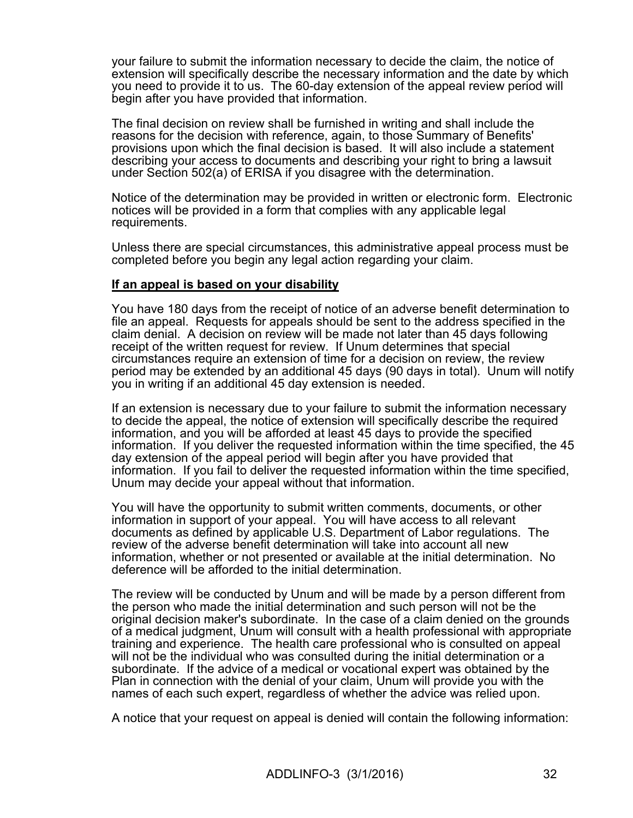your failure to submit the information necessary to decide the claim, the notice of extension will specifically describe the necessary information and the date by which you need to provide it to us. The 60-day extension of the appeal review period will begin after you have provided that information.

The final decision on review shall be furnished in writing and shall include the reasons for the decision with reference, again, to those Summary of Benefits' provisions upon which the final decision is based. It will also include a statement describing your access to documents and describing your right to bring a lawsuit under Section 502(a) of ERISA if you disagree with the determination.

Notice of the determination may be provided in written or electronic form. Electronic notices will be provided in a form that complies with any applicable legal requirements.

Unless there are special circumstances, this administrative appeal process must be completed before you begin any legal action regarding your claim.

#### If an appeal is based on your disability

You have 180 days from the receipt of notice of an adverse benefit determination to file an appeal. Requests for appeals should be sent to the address specified in the claim denial. A decision on review will be made not later than 45 days following receipt of the written request for review. If Unum determines that special circumstances require an extension of time for a decision on review, the review period may be extended by an additional 45 days (90 days in total). Unum will notify you in writing if an additional 45 day extension is needed.

If an extension is necessary due to your failure to submit the information necessary to decide the appeal, the notice of extension will specifically describe the required information, and you will be afforded at least 45 days to provide the specified information. If you deliver the requested information within the time specified, the 45 day extension of the appeal period will begin after you have provided that information. If you fail to deliver the requested information within the time specified, Unum may decide your appeal without that information.

You will have the opportunity to submit written comments, documents, or other information in support of your appeal. You will have access to all relevant documents as defined by applicable U.S. Department of Labor regulations. The review of the adverse benefit determination will take into account all new information, whether or not presented or available at the initial determination. No deference will be afforded to the initial determination.

The review will be conducted by Unum and will be made by a person different from the person who made the initial determination and such person will not be the original decision maker's subordinate. In the case of a claim denied on the grounds of a medical judgment, Unum will consult with a health professional with appropriate training and experience. The health care professional who is consulted on appeal will not be the individual who was consulted during the initial determination or a subordinate. If the advice of a medical or vocational expert was obtained by the Plan in connection with the denial of your claim, Unum will provide you with the names of each such expert, regardless of whether the advice was relied upon.

A notice that your request on appeal is denied will contain the following information: